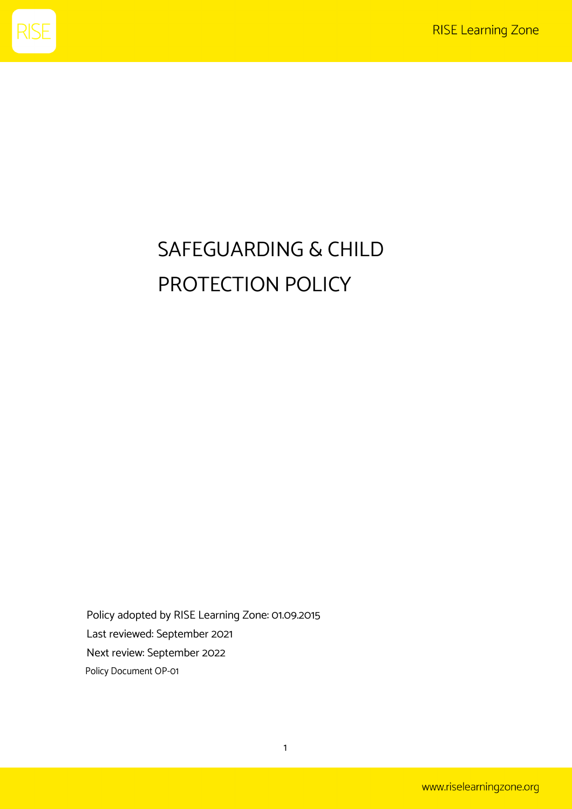

# SAFEGUARDING & CHILD PROTECTION POLICY

Policy adopted by RISE Learning Zone: 01.09.2015 Last reviewed: September 2021 Next review: September 2022 Policy Document OP-01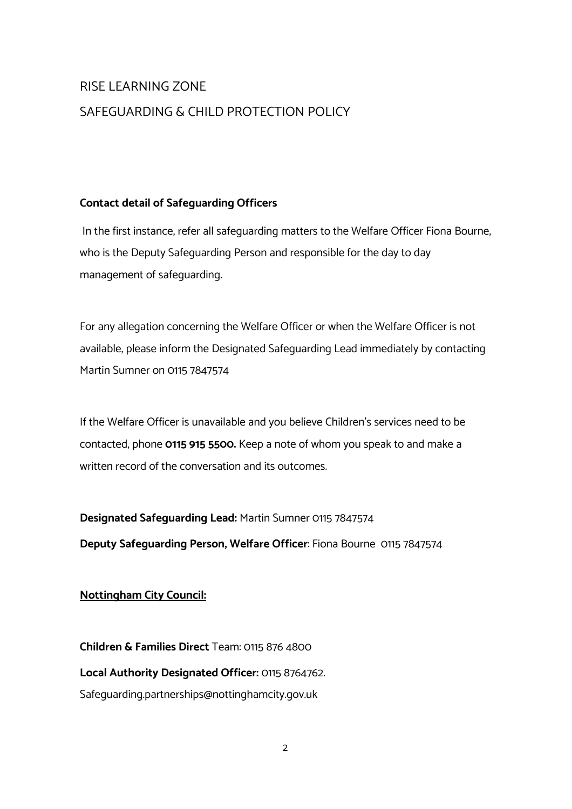# RISE LEARNING ZONE SAFEGUARDING & CHILD PROTECTION POLICY

# **Contact detail of Safeguarding Officers**

In the first instance, refer all safeguarding matters to the Welfare Officer Fiona Bourne, who is the Deputy Safeguarding Person and responsible for the day to day management of safeguarding.

For any allegation concerning the Welfare Officer or when the Welfare Officer is not available, please inform the Designated Safeguarding Lead immediately by contacting Martin Sumner on 0115 7847574

If the Welfare Officer is unavailable and you believe Children's services need to be contacted, phone **0115 915 5500.** Keep a note of whom you speak to and make a written record of the conversation and its outcomes.

**Designated Safeguarding Lead:** Martin Sumner 0115 7847574 **Deputy Safeguarding Person, Welfare Officer**: Fiona Bourne 0115 7847574

# **Nottingham City Council:**

**Children & Families Direct** Team: 0115 876 4800 **Local Authority Designated Officer:** 0115 8764762. Safeguarding.partnerships@nottinghamcity.gov.uk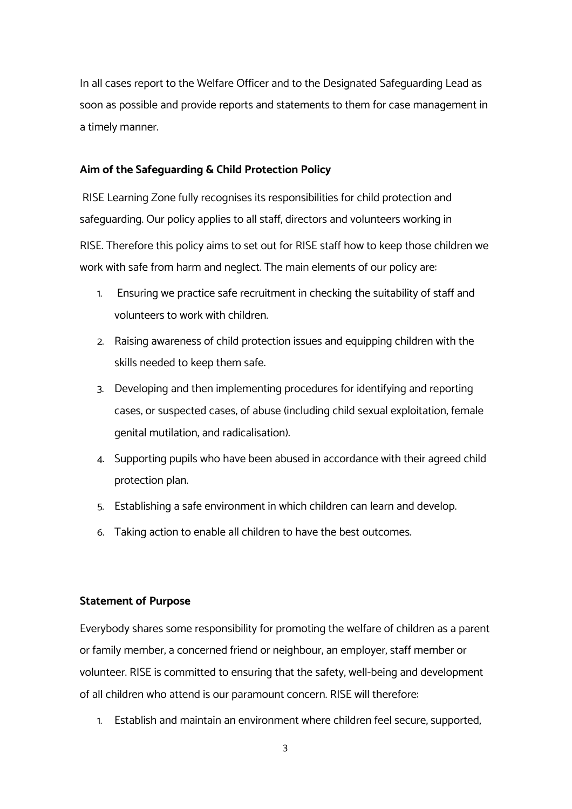In all cases report to the Welfare Officer and to the Designated Safeguarding Lead as soon as possible and provide reports and statements to them for case management in a timely manner.

#### **Aim of the Safeguarding & Child Protection Policy**

RISE Learning Zone fully recognises its responsibilities for child protection and safeguarding. Our policy applies to all staff, directors and volunteers working in RISE. Therefore this policy aims to set out for RISE staff how to keep those children we work with safe from harm and neglect. The main elements of our policy are:

- 1. Ensuring we practice safe recruitment in checking the suitability of staff and volunteers to work with children.
- 2. Raising awareness of child protection issues and equipping children with the skills needed to keep them safe.
- 3. Developing and then implementing procedures for identifying and reporting cases, or suspected cases, of abuse (including child sexual exploitation, female genital mutilation, and radicalisation).
- 4. Supporting pupils who have been abused in accordance with their agreed child protection plan.
- 5. Establishing a safe environment in which children can learn and develop.
- 6. Taking action to enable all children to have the best outcomes.

#### **Statement of Purpose**

Everybody shares some responsibility for promoting the welfare of children as a parent or family member, a concerned friend or neighbour, an employer, staff member or volunteer. RISE is committed to ensuring that the safety, well-being and development of all children who attend is our paramount concern. RISE will therefore:

1. Establish and maintain an environment where children feel secure, supported,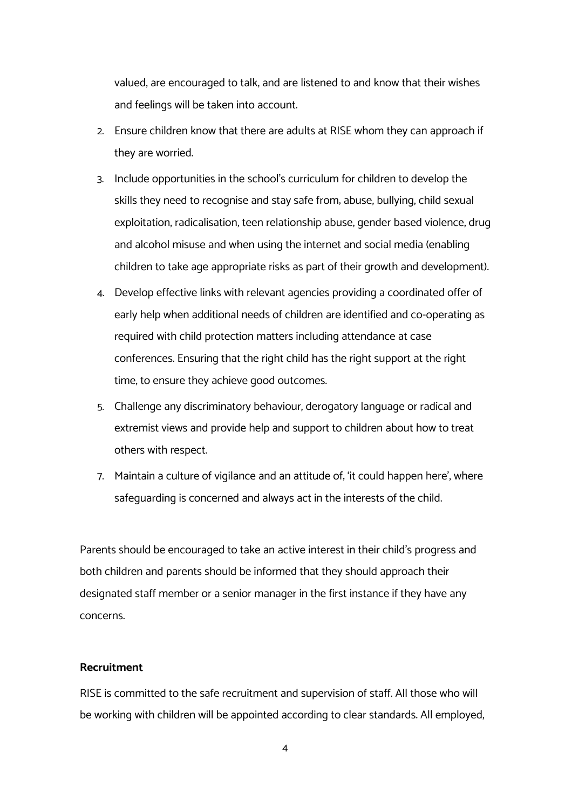valued, are encouraged to talk, and are listened to and know that their wishes and feelings will be taken into account.

- 2. Ensure children know that there are adults at RISE whom they can approach if they are worried.
- 3. Include opportunities in the school's curriculum for children to develop the skills they need to recognise and stay safe from; abuse, bullying, child sexual exploitation, radicalisation, teen relationship abuse, gender based violence, drug and alcohol misuse and when using the internet and social media (enabling children to take age appropriate risks as part of their growth and development).
- 4. Develop effective links with relevant agencies providing a coordinated offer of early help when additional needs of children are identified and co-operating as required with child protection matters including attendance at case conferences. Ensuring that the right child has the right support at the right time, to ensure they achieve good outcomes.
- 5. Challenge any discriminatory behaviour, derogatory language or radical and extremist views and provide help and support to children about how to treat others with respect.
- 7. Maintain a culture of vigilance and an attitude of; 'it could happen here', where safeguarding is concerned and always act in the interests of the child.

Parents should be encouraged to take an active interest in their child's progress and both children and parents should be informed that they should approach their designated staff member or a senior manager in the first instance if they have any concerns.

# **Recruitment**

RISE is committed to the safe recruitment and supervision of staff. All those who will be working with children will be appointed according to clear standards. All employed,

4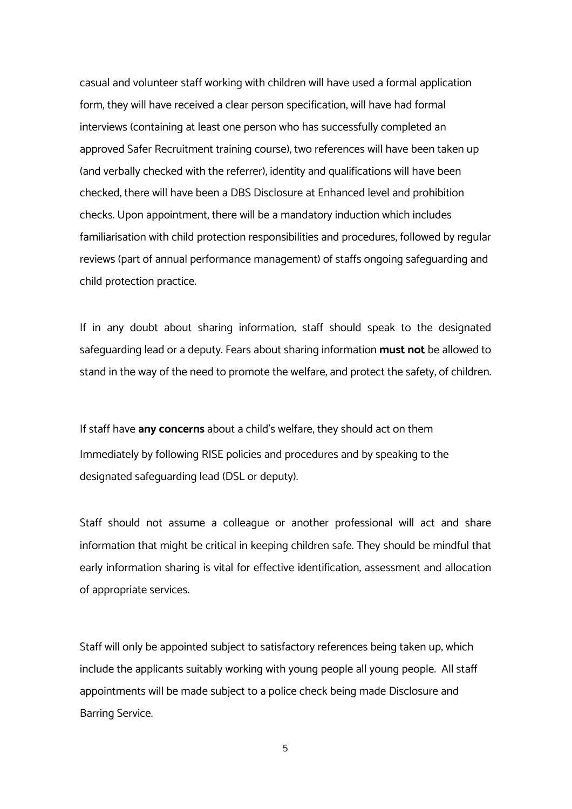casual and volunteer staff working with children will have used a formal application form, they will have received a clear person specification, will have had formal interviews (containing at least one person who has successfully completed an approved Safer Recruitment training course), two references will have been taken up (and verbally checked with the referrer), identity and qualifications will have been checked, there will have been a DBS Disclosure at Enhanced level and prohibition checks. Upon appointment, there will be a mandatory induction which includes familiarisation with child protection responsibilities and procedures, followed by regular reviews (part of annual performance management) of staffs ongoing safeguarding and child protection practice.

If in any doubt about sharing information, staff should speak to the designated safeguarding lead or a deputy. Fears about sharing information **must not** be allowed to stand in the way of the need to promote the welfare, and protect the safety, of children.

If staff have **any concerns** about a child's welfare, they should act on them Immediately by following RISE policies and procedures and by speaking to the designated safeguarding lead (DSL or deputy).

Staff should not assume a colleague or another professional will act and share information that might be critical in keeping children safe. They should be mindful that early information sharing is vital for effective identification, assessment and allocation of appropriate services.

Staff will only be appointed subject to satisfactory references being taken up; which include the applicants suitably working with young people all young people. All staff appointments will be made subject to a police check being made Disclosure and Barring Service.

5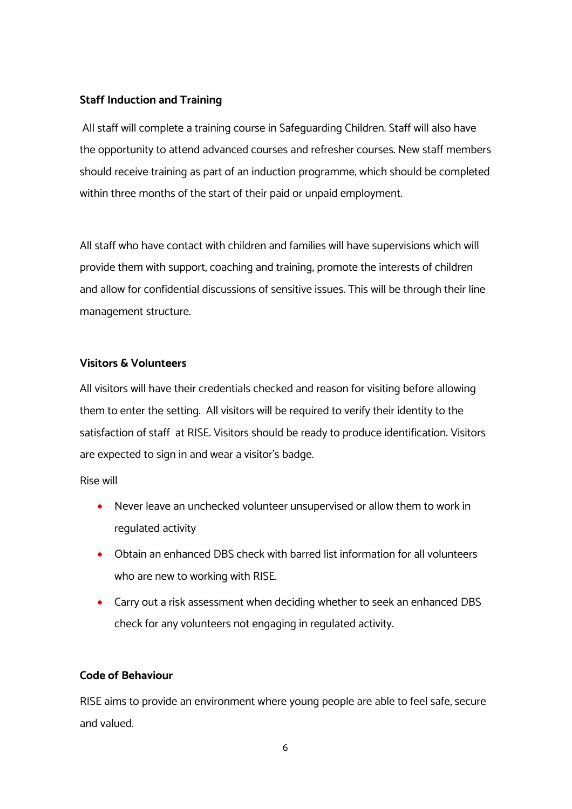# **Staff Induction and Training**

All staff will complete a training course in Safeguarding Children. Staff will also have the opportunity to attend advanced courses and refresher courses. New staff members should receive training as part of an induction programme, which should be completed within three months of the start of their paid or unpaid employment.

All staff who have contact with children and families will have supervisions which will provide them with support, coaching and training, promote the interests of children and allow for confidential discussions of sensitive issues. This will be through their line management structure.

# **Visitors & Volunteers**

All visitors will have their credentials checked and reason for visiting before allowing them to enter the setting. All visitors will be required to verify their identity to the satisfaction of staff at RISE. Visitors should be ready to produce identification. Visitors are expected to sign in and wear a visitor's badge.

Rise will

- Never leave an unchecked volunteer unsupervised or allow them to work in regulated activity
- Obtain an enhanced DBS check with barred list information for all volunteers who are new to working with RISE.
- Carry out a risk assessment when deciding whether to seek an enhanced DBS check for any volunteers not engaging in regulated activity.

# **Code of Behaviour**

RISE aims to provide an environment where young people are able to feel safe, secure and valued.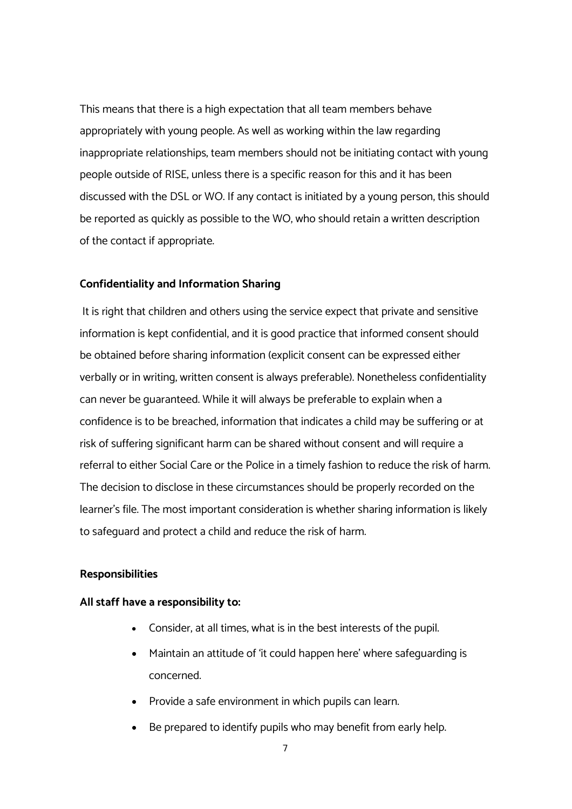This means that there is a high expectation that all team members behave appropriately with young people. As well as working within the law regarding inappropriate relationships, team members should not be initiating contact with young people outside of RISE, unless there is a specific reason for this and it has been discussed with the DSL or WO. If any contact is initiated by a young person, this should be reported as quickly as possible to the WO, who should retain a written description of the contact if appropriate.

#### **Confidentiality and Information Sharing**

It is right that children and others using the service expect that private and sensitive information is kept confidential, and it is good practice that informed consent should be obtained before sharing information (explicit consent can be expressed either verbally or in writing, written consent is always preferable). Nonetheless confidentiality can never be guaranteed. While it will always be preferable to explain when a confidence is to be breached, information that indicates a child may be suffering or at risk of suffering significant harm can be shared without consent and will require a referral to either Social Care or the Police in a timely fashion to reduce the risk of harm. The decision to disclose in these circumstances should be properly recorded on the learner's file. The most important consideration is whether sharing information is likely to safeguard and protect a child and reduce the risk of harm.

# **Responsibilities**

#### **All staff have a responsibility to:**

- Consider, at all times, what is in the best interests of the pupil.
- Maintain an attitude of 'it could happen here' where safeguarding is concerned.
- Provide a safe environment in which pupils can learn.
- Be prepared to identify pupils who may benefit from early help.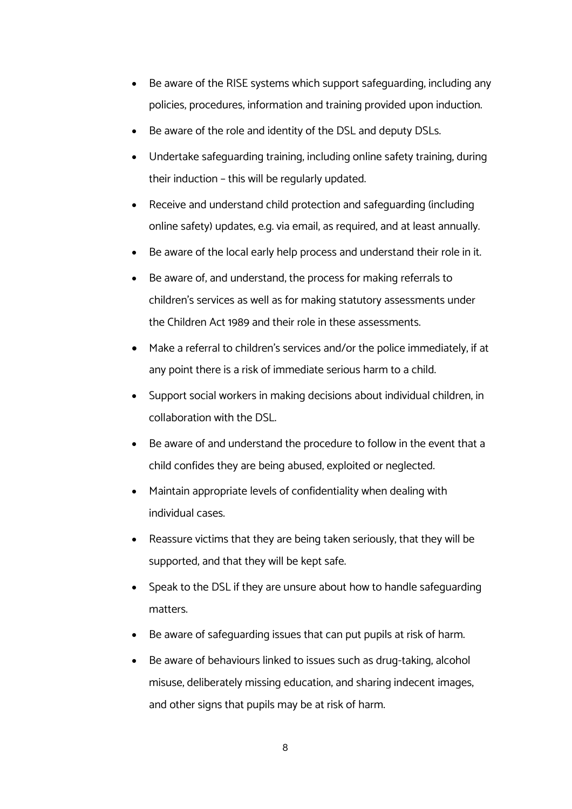- Be aware of the RISE systems which support safeguarding, including any policies, procedures, information and training provided upon induction.
- Be aware of the role and identity of the DSL and deputy DSLs.
- Undertake safeguarding training, including online safety training, during their induction – this will be regularly updated.
- Receive and understand child protection and safeguarding (including online safety) updates, e.g. via email, as required, and at least annually.
- Be aware of the local early help process and understand their role in it.
- Be aware of, and understand, the process for making referrals to children's services as well as for making statutory assessments under the Children Act 1989 and their role in these assessments.
- Make a referral to children's services and/or the police immediately, if at any point there is a risk of immediate serious harm to a child.
- Support social workers in making decisions about individual children, in collaboration with the DSL.
- Be aware of and understand the procedure to follow in the event that a child confides they are being abused, exploited or neglected.
- Maintain appropriate levels of confidentiality when dealing with individual cases.
- Reassure victims that they are being taken seriously, that they will be supported, and that they will be kept safe.
- Speak to the DSL if they are unsure about how to handle safeguarding matters.
- Be aware of safeguarding issues that can put pupils at risk of harm.
- Be aware of behaviours linked to issues such as drug-taking, alcohol misuse, deliberately missing education, and sharing indecent images, and other signs that pupils may be at risk of harm.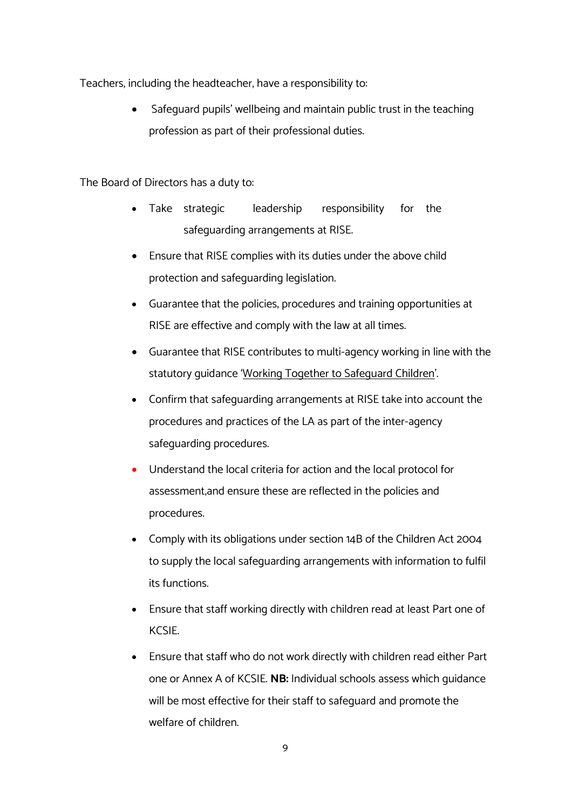Teachers, including the headteacher, have a responsibility to:

• Safeguard pupils' wellbeing and maintain public trust in the teaching profession as part of their professional duties.

The Board of Directors has a duty to:

- Take strategic leadership responsibility for the safeguarding arrangements at RISE.
- Ensure that RISE complies with its duties under the above child protection and safeguarding legislation.
- Guarantee that the policies, procedures and training opportunities at RISE are effective and comply with the law at all times.
- Guarantee that RISE contributes to multi-agency working in line with the statutory guidance 'Working Together to Safeguard Children'.
- Confirm that safeguarding arrangements at RISE take into account the procedures and practices of the LA as part of the inter-agency safeguarding procedures.
- Understand the local criteria for action and the local protocol for assessment,and ensure these are reflected in the policies and procedures.
- Comply with its obligations under section 14B of the Children Act 2004 to supply the local safeguarding arrangements with information to fulfil its functions.
- Ensure that staff working directly with children read at least Part one of KCSIE.
- Ensure that staff who do not work directly with children read either Part one or Annex A of KCSIE. **NB:** Individual schools assess which guidance will be most effective for their staff to safeguard and promote the welfare of children.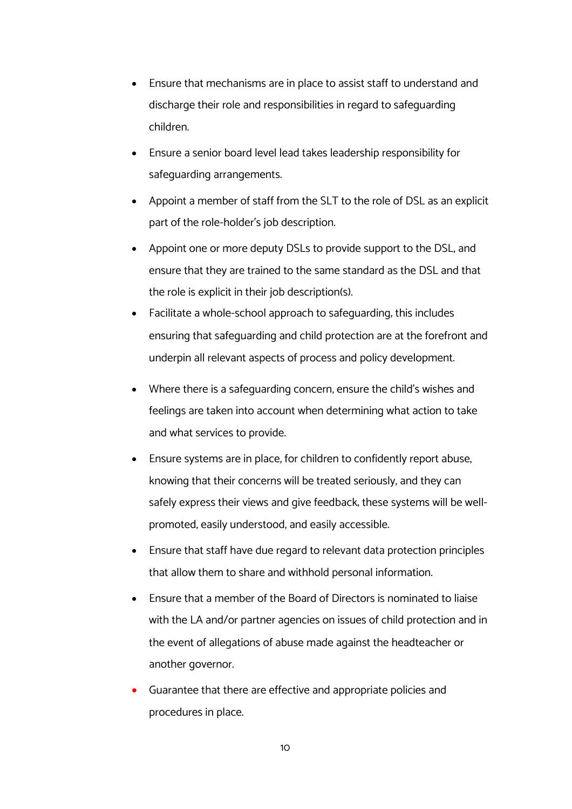- Ensure that mechanisms are in place to assist staff to understand and discharge their role and responsibilities in regard to safeguarding children.
- Ensure a senior board level lead takes leadership responsibility for safeguarding arrangements.
- Appoint a member of staff from the SLT to the role of DSL as an explicit part of the role-holder's job description.
- Appoint one or more deputy DSLs to provide support to the DSL, and ensure that they are trained to the same standard as the DSL and that the role is explicit in their job description(s).
- Facilitate a whole-school approach to safeguarding; this includes ensuring that safeguarding and child protection are at the forefront and underpin all relevant aspects of process and policy development.
- Where there is a safeguarding concern, ensure the child's wishes and feelings are taken into account when determining what action to take and what services to provide.
- Ensure systems are in place, for children to confidently report abuse, knowing that their concerns will be treated seriously, and they can safely express their views and give feedback; these systems will be wellpromoted, easily understood, and easily accessible.
- Ensure that staff have due regard to relevant data protection principles that allow them to share and withhold personal information.
- Ensure that a member of the Board of Directors is nominated to liaise with the LA and/or partner agencies on issues of child protection and in the event of allegations of abuse made against the headteacher or another governor.
- Guarantee that there are effective and appropriate policies and procedures in place.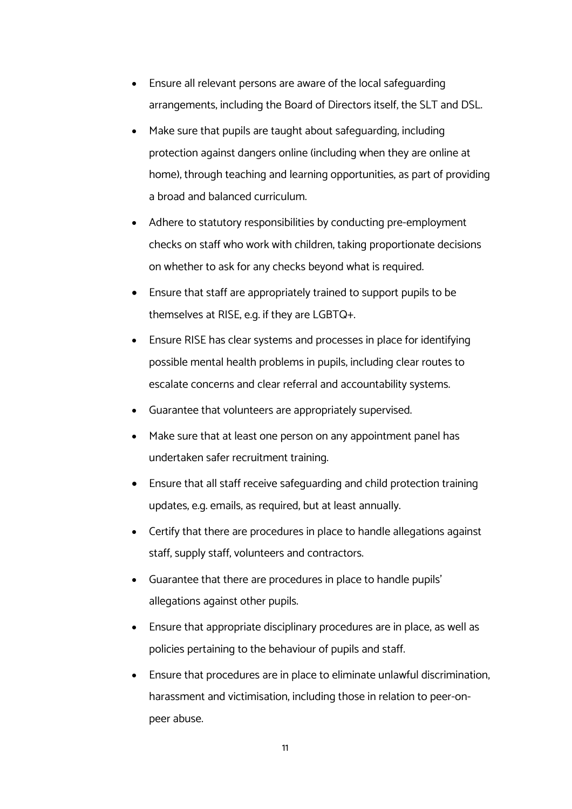- Ensure all relevant persons are aware of the local safeguarding arrangements, including the Board of Directors itself, the SLT and DSL.
- Make sure that pupils are taught about safeguarding, including protection against dangers online (including when they are online at home), through teaching and learning opportunities, as part of providing a broad and balanced curriculum.
- Adhere to statutory responsibilities by conducting pre-employment checks on staff who work with children, taking proportionate decisions on whether to ask for any checks beyond what is required.
- Ensure that staff are appropriately trained to support pupils to be themselves at RISE, e.g. if they are LGBTQ+.
- Ensure RISE has clear systems and processes in place for identifying possible mental health problems in pupils, including clear routes to escalate concerns and clear referral and accountability systems.
- Guarantee that volunteers are appropriately supervised.
- Make sure that at least one person on any appointment panel has undertaken safer recruitment training.
- Ensure that all staff receive safeguarding and child protection training updates, e.g. emails, as required, but at least annually.
- Certify that there are procedures in place to handle allegations against staff, supply staff, volunteers and contractors.
- Guarantee that there are procedures in place to handle pupils' allegations against other pupils.
- Ensure that appropriate disciplinary procedures are in place, as well as policies pertaining to the behaviour of pupils and staff.
- Ensure that procedures are in place to eliminate unlawful discrimination, harassment and victimisation, including those in relation to peer-onpeer abuse.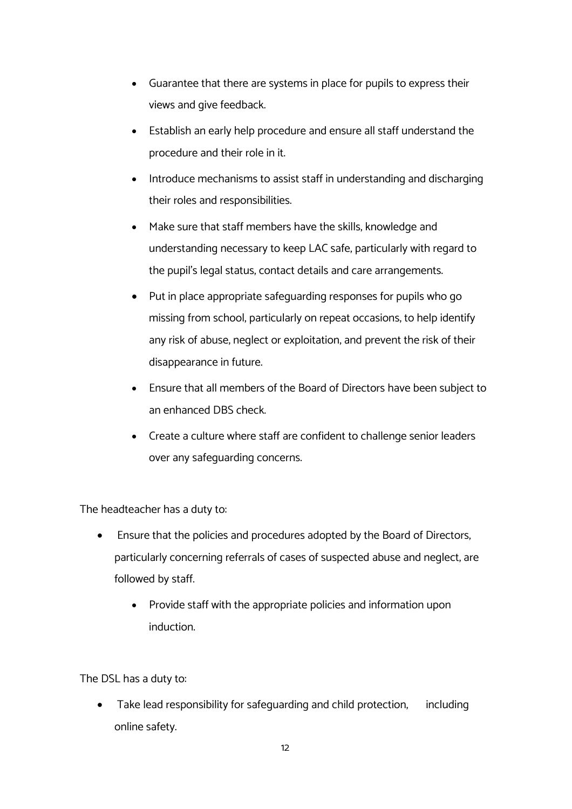- Guarantee that there are systems in place for pupils to express their views and give feedback.
- Establish an early help procedure and ensure all staff understand the procedure and their role in it.
- Introduce mechanisms to assist staff in understanding and discharging their roles and responsibilities.
- Make sure that staff members have the skills, knowledge and understanding necessary to keep LAC safe, particularly with regard to the pupil's legal status, contact details and care arrangements.
- Put in place appropriate safeguarding responses for pupils who go missing from school, particularly on repeat occasions, to help identify any risk of abuse, neglect or exploitation, and prevent the risk of their disappearance in future.
- Ensure that all members of the Board of Directors have been subject to an enhanced DBS check.
- Create a culture where staff are confident to challenge senior leaders over any safeguarding concerns.

The headteacher has a duty to:

- Ensure that the policies and procedures adopted by the Board of Directors, particularly concerning referrals of cases of suspected abuse and neglect, are followed by staff.
	- Provide staff with the appropriate policies and information upon induction.

The DSL has a duty to:

Take lead responsibility for safeguarding and child protection, including online safety.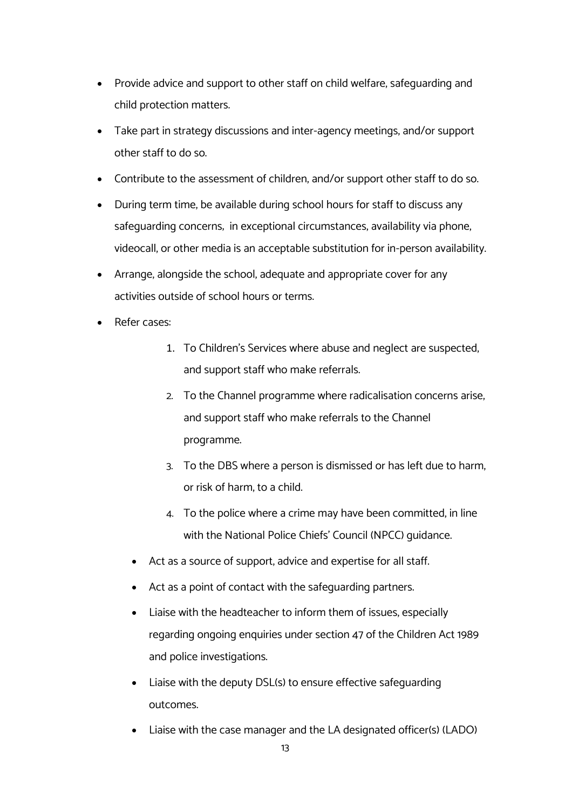- Provide advice and support to other staff on child welfare, safeguarding and child protection matters.
- Take part in strategy discussions and inter-agency meetings, and/or support other staff to do so.
- Contribute to the assessment of children, and/or support other staff to do so.
- During term time, be available during school hours for staff to discuss any safeguarding concerns; in exceptional circumstances, availability via phone, videocall, or other media is an acceptable substitution for in-person availability.
- Arrange, alongside the school, adequate and appropriate cover for any activities outside of school hours or terms.
- Refer cases:
	- 1. To Children's Services where abuse and neglect are suspected, and support staff who make referrals.
	- 2. To the Channel programme where radicalisation concerns arise, and support staff who make referrals to the Channel programme.
	- 3. To the DBS where a person is dismissed or has left due to harm, or risk of harm, to a child.
	- 4. To the police where a crime may have been committed, in line with the National Police Chiefs' Council (NPCC) guidance.
	- Act as a source of support, advice and expertise for all staff.
	- Act as a point of contact with the safeguarding partners.
	- Liaise with the headteacher to inform them of issues, especially regarding ongoing enquiries under section 47 of the Children Act 1989 and police investigations.
	- Liaise with the deputy DSL(s) to ensure effective safeguarding outcomes.
	- Liaise with the case manager and the LA designated officer(s) (LADO)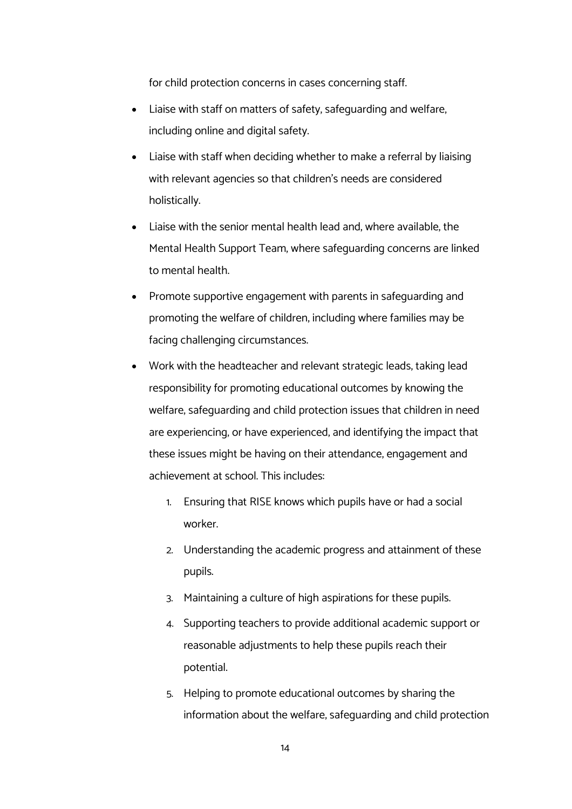for child protection concerns in cases concerning staff.

- Liaise with staff on matters of safety, safeguarding and welfare, including online and digital safety.
- Liaise with staff when deciding whether to make a referral by liaising with relevant agencies so that children's needs are considered holistically.
- Liaise with the senior mental health lead and, where available, the Mental Health Support Team, where safeguarding concerns are linked to mental health.
- Promote supportive engagement with parents in safeguarding and promoting the welfare of children, including where families may be facing challenging circumstances.
- Work with the headteacher and relevant strategic leads, taking lead responsibility for promoting educational outcomes by knowing the welfare, safeguarding and child protection issues that children in need are experiencing, or have experienced, and identifying the impact that these issues might be having on their attendance, engagement and achievement at school. This includes:
	- 1. Ensuring that RISE knows which pupils have or had a social worker.
	- 2. Understanding the academic progress and attainment of these pupils.
	- 3. Maintaining a culture of high aspirations for these pupils.
	- 4. Supporting teachers to provide additional academic support or reasonable adjustments to help these pupils reach their potential.
	- 5. Helping to promote educational outcomes by sharing the information about the welfare, safeguarding and child protection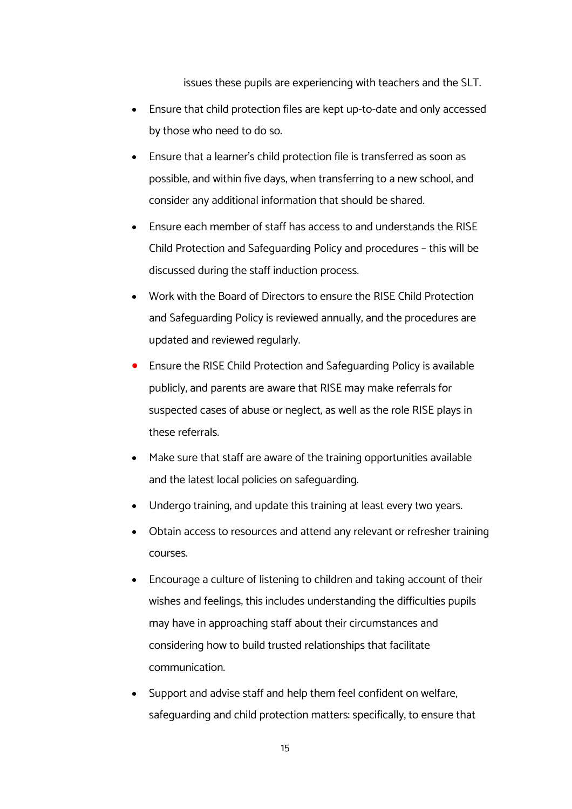issues these pupils are experiencing with teachers and the SLT.

- Ensure that child protection files are kept up-to-date and only accessed by those who need to do so.
- Ensure that a learner's child protection file is transferred as soon as possible, and within five days, when transferring to a new school, and consider any additional information that should be shared.
- Ensure each member of staff has access to and understands the RISE Child Protection and Safeguarding Policy and procedures – this will be discussed during the staff induction process.
- Work with the Board of Directors to ensure the RISE Child Protection and Safeguarding Policy is reviewed annually, and the procedures are updated and reviewed regularly.
- Ensure the RISE Child Protection and Safeguarding Policy is available publicly, and parents are aware that RISE may make referrals for suspected cases of abuse or neglect, as well as the role RISE plays in these referrals.
- Make sure that staff are aware of the training opportunities available and the latest local policies on safeguarding.
- Undergo training, and update this training at least every two years.
- Obtain access to resources and attend any relevant or refresher training courses.
- Encourage a culture of listening to children and taking account of their wishes and feelings; this includes understanding the difficulties pupils may have in approaching staff about their circumstances and considering how to build trusted relationships that facilitate communication.
- Support and advise staff and help them feel confident on welfare, safeguarding and child protection matters: specifically, to ensure that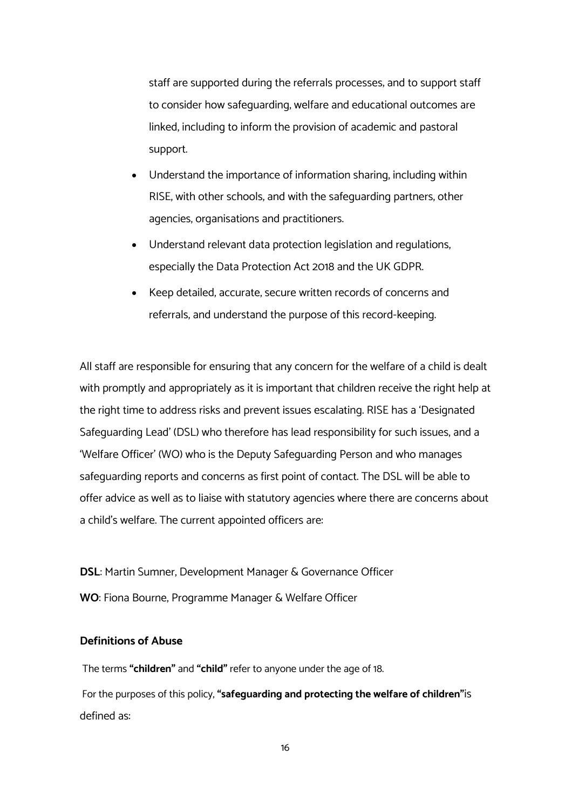staff are supported during the referrals processes; and to support staff to consider how safeguarding, welfare and educational outcomes are linked, including to inform the provision of academic and pastoral support.

- Understand the importance of information sharing, including within RISE, with other schools, and with the safeguarding partners, other agencies, organisations and practitioners.
- Understand relevant data protection legislation and regulations, especially the Data Protection Act 2018 and the UK GDPR.
- Keep detailed, accurate, secure written records of concerns and referrals, and understand the purpose of this record-keeping.

All staff are responsible for ensuring that any concern for the welfare of a child is dealt with promptly and appropriately as it is important that children receive the right help at the right time to address risks and prevent issues escalating. RISE has a 'Designated Safeguarding Lead' (DSL) who therefore has lead responsibility for such issues, and a 'Welfare Officer' (WO) who is the Deputy Safeguarding Person and who manages safeguarding reports and concerns as first point of contact. The DSL will be able to offer advice as well as to liaise with statutory agencies where there are concerns about a child's welfare. The current appointed officers are:

**DSL**: Martin Sumner, Development Manager & Governance Officer **WO**: Fiona Bourne, Programme Manager & Welfare Officer

# **Definitions of Abuse**

The terms **"children"** and **"child"** refer to anyone under the age of 18.

For the purposes of this policy, **"safeguarding and protecting the welfare of children"**is defined as: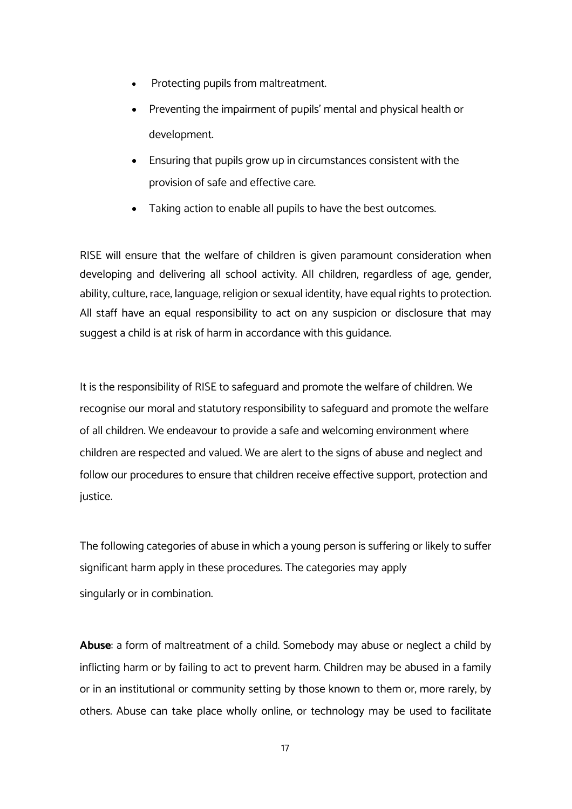- Protecting pupils from maltreatment.
- Preventing the impairment of pupils' mental and physical health or development.
- Ensuring that pupils grow up in circumstances consistent with the provision of safe and effective care.
- Taking action to enable all pupils to have the best outcomes.

RISE will ensure that the welfare of children is given paramount consideration when developing and delivering all school activity. All children, regardless of age, gender, ability, culture, race, language, religion or sexual identity, have equal rights to protection. All staff have an equal responsibility to act on any suspicion or disclosure that may suggest a child is at risk of harm in accordance with this guidance.

It is the responsibility of RISE to safeguard and promote the welfare of children. We recognise our moral and statutory responsibility to safeguard and promote the welfare of all children. We endeavour to provide a safe and welcoming environment where children are respected and valued. We are alert to the signs of abuse and neglect and follow our procedures to ensure that children receive effective support, protection and justice.

The following categories of abuse in which a young person is suffering or likely to suffer significant harm apply in these procedures. The categories may apply singularly or in combination.

**Abuse**: a form of maltreatment of a child. Somebody may abuse or neglect a child by inflicting harm or by failing to act to prevent harm. Children may be abused in a family or in an institutional or community setting by those known to them or, more rarely, by others. Abuse can take place wholly online, or technology may be used to facilitate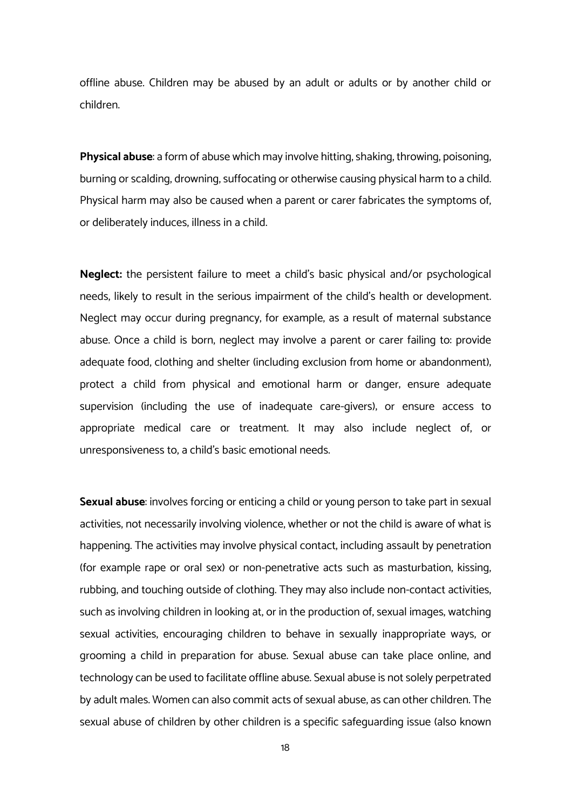offline abuse. Children may be abused by an adult or adults or by another child or children.

**Physical abuse**: a form of abuse which may involve hitting, shaking, throwing, poisoning, burning or scalding, drowning, suffocating or otherwise causing physical harm to a child. Physical harm may also be caused when a parent or carer fabricates the symptoms of, or deliberately induces, illness in a child.

**Neglect:** the persistent failure to meet a child's basic physical and/or psychological needs, likely to result in the serious impairment of the child's health or development. Neglect may occur during pregnancy, for example, as a result of maternal substance abuse. Once a child is born, neglect may involve a parent or carer failing to: provide adequate food, clothing and shelter (including exclusion from home or abandonment); protect a child from physical and emotional harm or danger; ensure adequate supervision (including the use of inadequate care-givers); or ensure access to appropriate medical care or treatment. It may also include neglect of, or unresponsiveness to, a child's basic emotional needs.

**Sexual abuse**: involves forcing or enticing a child or young person to take part in sexual activities, not necessarily involving violence, whether or not the child is aware of what is happening. The activities may involve physical contact, including assault by penetration (for example rape or oral sex) or non-penetrative acts such as masturbation, kissing, rubbing, and touching outside of clothing. They may also include non-contact activities, such as involving children in looking at, or in the production of, sexual images, watching sexual activities, encouraging children to behave in sexually inappropriate ways, or grooming a child in preparation for abuse. Sexual abuse can take place online, and technology can be used to facilitate offline abuse. Sexual abuse is not solely perpetrated by adult males. Women can also commit acts of sexual abuse, as can other children. The sexual abuse of children by other children is a specific safeguarding issue (also known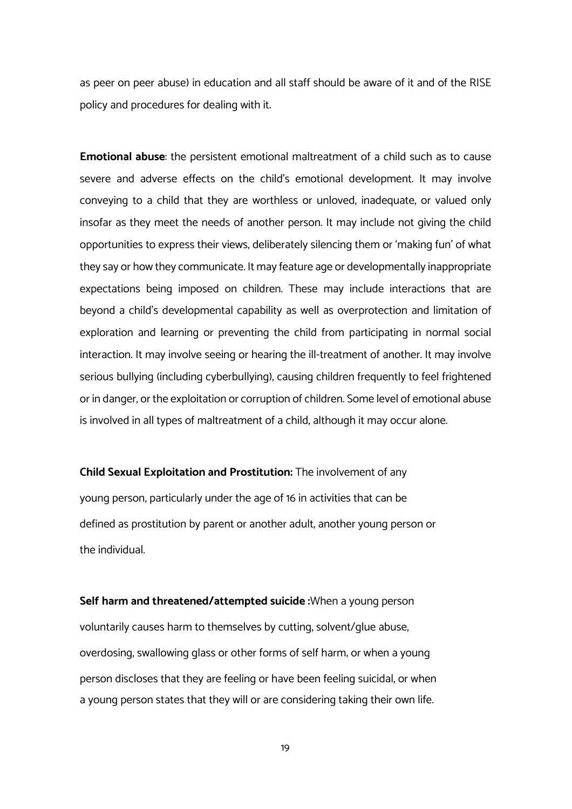as peer on peer abuse) in education and all staff should be aware of it and of the RISE policy and procedures for dealing with it.

**Emotional abuse**: the persistent emotional maltreatment of a child such as to cause severe and adverse effects on the child's emotional development. It may involve conveying to a child that they are worthless or unloved, inadequate, or valued only insofar as they meet the needs of another person. It may include not giving the child opportunities to express their views, deliberately silencing them or 'making fun' of what they say or how they communicate. It may feature age or developmentally inappropriate expectations being imposed on children. These may include interactions that are beyond a child's developmental capability as well as overprotection and limitation of exploration and learning or preventing the child from participating in normal social interaction. It may involve seeing or hearing the ill-treatment of another. It may involve serious bullying (including cyberbullying), causing children frequently to feel frightened or in danger, or the exploitation or corruption of children. Some level of emotional abuse is involved in all types of maltreatment of a child, although it may occur alone.

**Child Sexual Exploitation and Prostitution:** The involvement of any young person, particularly under the age of 16 in activities that can be defined as prostitution by parent or another adult, another young person or the individual.

**Self harm and threatened/attempted suicide :**When a young person voluntarily causes harm to themselves by cutting, solvent/glue abuse, overdosing, swallowing glass or other forms of self harm; or when a young person discloses that they are feeling or have been feeling suicidal, or when a young person states that they will or are considering taking their own life.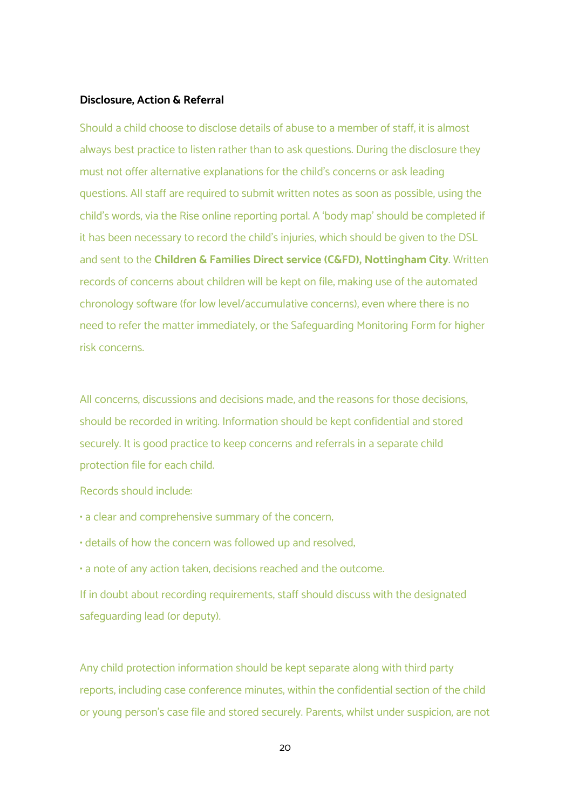# **Disclosure, Action & Referral**

Should a child choose to disclose details of abuse to a member of staff, it is almost always best practice to listen rather than to ask questions. During the disclosure they must not offer alternative explanations for the child's concerns or ask leading questions. All staff are required to submit written notes as soon as possible, using the child's words, via the Rise online reporting portal. A 'body map' should be completed if it has been necessary to record the child's injuries, which should be given to the DSL and sent to the **Children & Families Direct service (C&FD), Nottingham City**. Written records of concerns about children will be kept on file, making use of the automated chronology software (for low level/accumulative concerns), even where there is no need to refer the matter immediately, or the Safeguarding Monitoring Form for higher risk concerns.

All concerns, discussions and decisions made, and the reasons for those decisions, should be recorded in writing. Information should be kept confidential and stored securely. It is good practice to keep concerns and referrals in a separate child protection file for each child.

Records should include:

• a clear and comprehensive summary of the concern;

• details of how the concern was followed up and resolved;

• a note of any action taken, decisions reached and the outcome.

If in doubt about recording requirements, staff should discuss with the designated safeguarding lead (or deputy).

Any child protection information should be kept separate along with third party reports, including case conference minutes, within the confidential section of the child or young person's case file and stored securely. Parents, whilst under suspicion, are not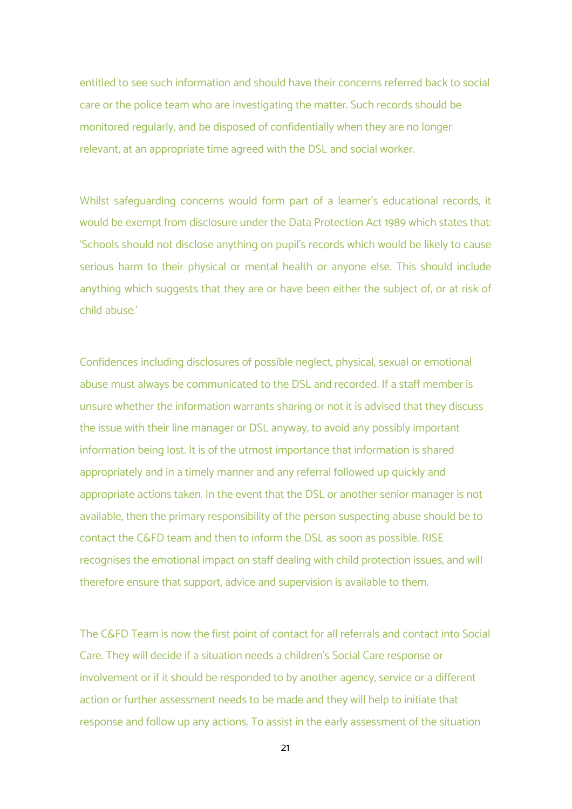entitled to see such information and should have their concerns referred back to social care or the police team who are investigating the matter. Such records should be monitored regularly, and be disposed of confidentially when they are no longer relevant, at an appropriate time agreed with the DSL and social worker.

Whilst safeguarding concerns would form part of a learner's educational records, it would be exempt from disclosure under the Data Protection Act 1989 which states that: 'Schools should not disclose anything on pupil's records which would be likely to cause serious harm to their physical or mental health or anyone else. This should include anything which suggests that they are or have been either the subject of, or at risk of child abuse.'

Confidences including disclosures of possible neglect, physical, sexual or emotional abuse must always be communicated to the DSL and recorded. If a staff member is unsure whether the information warrants sharing or not it is advised that they discuss the issue with their line manager or DSL anyway, to avoid any possibly important information being lost. It is of the utmost importance that information is shared appropriately and in a timely manner and any referral followed up quickly and appropriate actions taken. In the event that the DSL or another senior manager is not available, then the primary responsibility of the person suspecting abuse should be to contact the C&FD team and then to inform the DSL as soon as possible. RISE recognises the emotional impact on staff dealing with child protection issues, and will therefore ensure that support, advice and supervision is available to them.

The C&FD Team is now the first point of contact for all referrals and contact into Social Care. They will decide if a situation needs a children's Social Care response or involvement or if it should be responded to by another agency, service or a different action or further assessment needs to be made and they will help to initiate that response and follow up any actions. To assist in the early assessment of the situation

21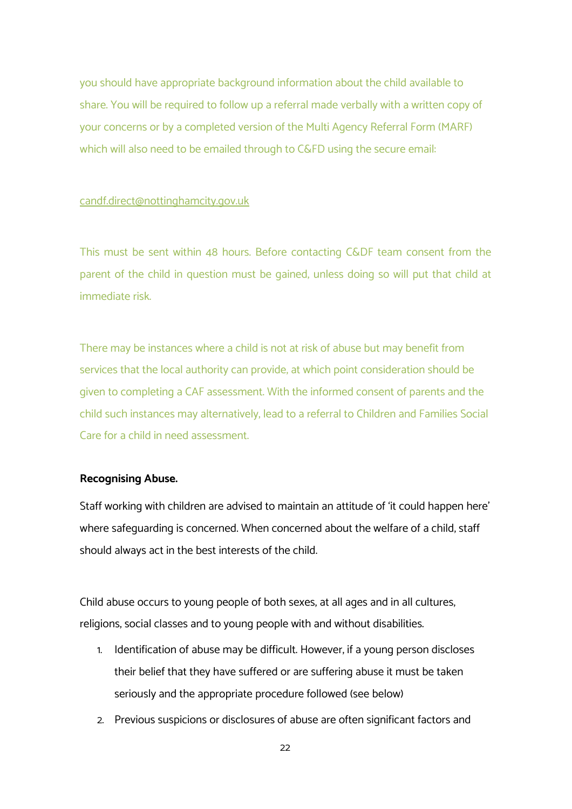you should have appropriate background information about the child available to share. You will be required to follow up a referral made verbally with a written copy of your concerns or by a completed version of the Multi Agency Referral Form (MARF) which will also need to be emailed through to C&FD using the secure email:

#### candf.direct@nottinghamcity.gov.uk

This must be sent within 48 hours. Before contacting C&DF team consent from the parent of the child in question must be gained, unless doing so will put that child at immediate risk.

There may be instances where a child is not at risk of abuse but may benefit from services that the local authority can provide, at which point consideration should be given to completing a CAF assessment. With the informed consent of parents and the child such instances may alternatively, lead to a referral to Children and Families Social Care for a child in need assessment.

#### **Recognising Abuse.**

Staff working with children are advised to maintain an attitude of 'it could happen here' where safeguarding is concerned. When concerned about the welfare of a child, staff should always act in the best interests of the child.

Child abuse occurs to young people of both sexes, at all ages and in all cultures, religions, social classes and to young people with and without disabilities.

- 1. Identification of abuse may be difficult. However, if a young person discloses their belief that they have suffered or are suffering abuse it must be taken seriously and the appropriate procedure followed (see below)
- 2. Previous suspicions or disclosures of abuse are often significant factors and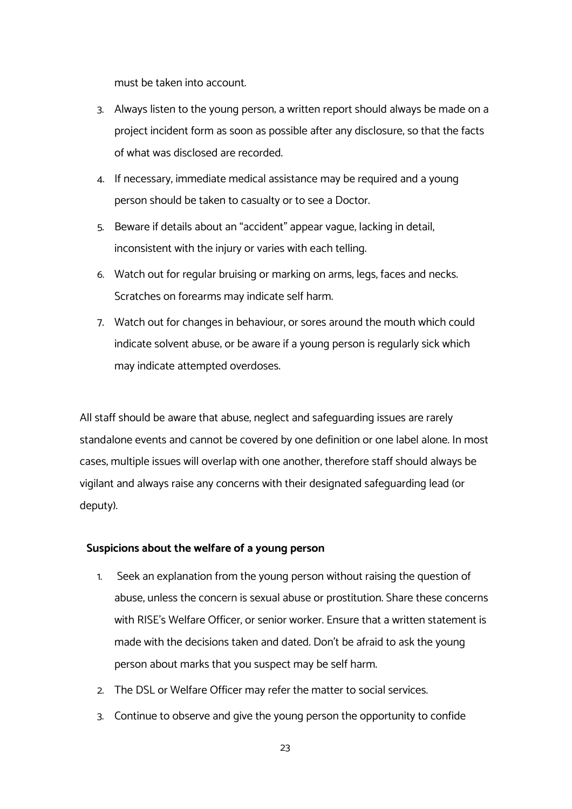must be taken into account.

- 3. Always listen to the young person; a written report should always be made on a project incident form as soon as possible after any disclosure, so that the facts of what was disclosed are recorded.
- 4. If necessary, immediate medical assistance may be required and a young person should be taken to casualty or to see a Doctor.
- 5. Beware if details about an "accident" appear vague, lacking in detail, inconsistent with the injury or varies with each telling.
- 6. Watch out for regular bruising or marking on arms, legs, faces and necks. Scratches on forearms may indicate self harm.
- 7. Watch out for changes in behaviour, or sores around the mouth which could indicate solvent abuse; or be aware if a young person is regularly sick which may indicate attempted overdoses.

All staff should be aware that abuse, neglect and safeguarding issues are rarely standalone events and cannot be covered by one definition or one label alone. In most cases, multiple issues will overlap with one another, therefore staff should always be vigilant and always raise any concerns with their designated safeguarding lead (or deputy).

# **Suspicions about the welfare of a young person**

- 1. Seek an explanation from the young person without raising the question of abuse, unless the concern is sexual abuse or prostitution. Share these concerns with RISE's Welfare Officer, or senior worker. Ensure that a written statement is made with the decisions taken and dated. Don't be afraid to ask the young person about marks that you suspect may be self harm.
- 2. The DSL or Welfare Officer may refer the matter to social services.
- 3. Continue to observe and give the young person the opportunity to confide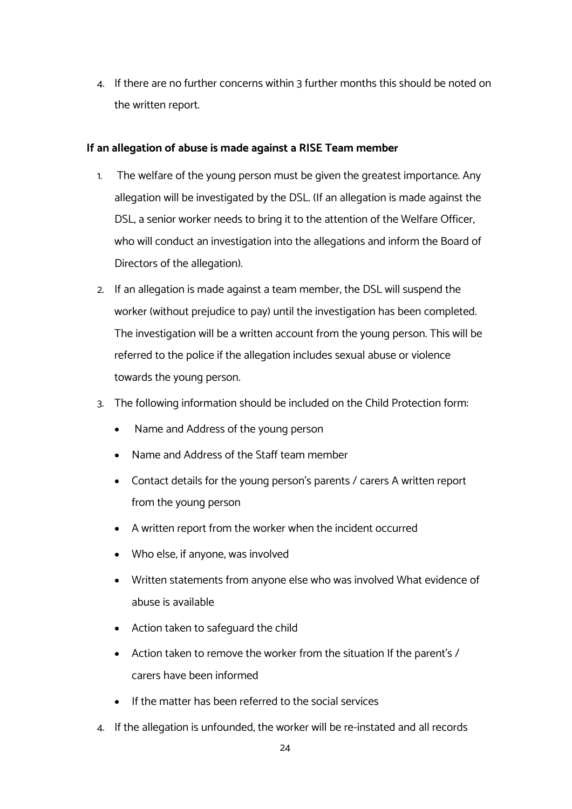4. If there are no further concerns within 3 further months this should be noted on the written report.

# **If an allegation of abuse is made against a RISE Team member**

- 1. The welfare of the young person must be given the greatest importance. Any allegation will be investigated by the DSL. (If an allegation is made against the DSL, a senior worker needs to bring it to the attention of the Welfare Officer, who will conduct an investigation into the allegations and inform the Board of Directors of the allegation).
- 2. If an allegation is made against a team member, the DSL will suspend the worker (without prejudice to pay) until the investigation has been completed. The investigation will be a written account from the young person. This will be referred to the police if the allegation includes sexual abuse or violence towards the young person.
- 3. The following information should be included on the Child Protection form:
	- Name and Address of the young person
	- Name and Address of the Staff team member
	- Contact details for the young person's parents / carers A written report from the young person
	- A written report from the worker when the incident occurred
	- Who else, if anyone, was involved
	- Written statements from anyone else who was involved What evidence of abuse is available
	- Action taken to safeguard the child
	- Action taken to remove the worker from the situation If the parent's / carers have been informed
	- If the matter has been referred to the social services
- 4. If the allegation is unfounded, the worker will be re-instated and all records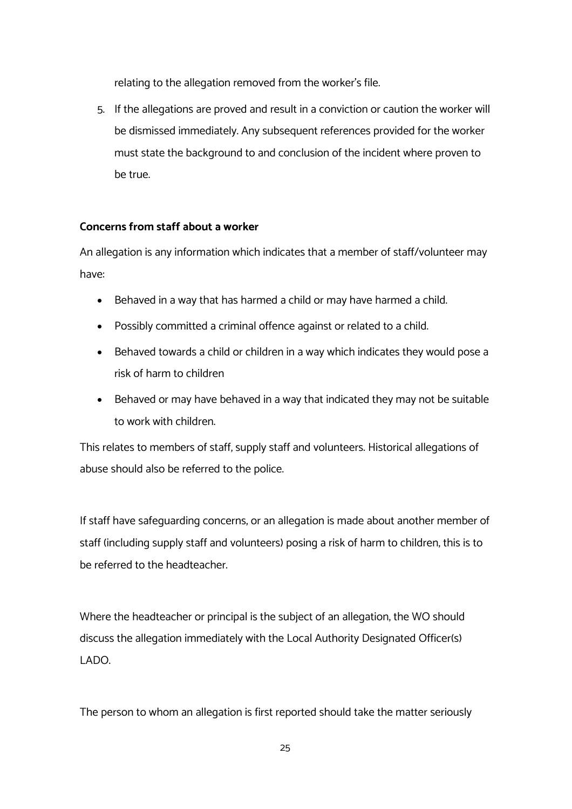relating to the allegation removed from the worker's file.

5. If the allegations are proved and result in a conviction or caution the worker will be dismissed immediately. Any subsequent references provided for the worker must state the background to and conclusion of the incident where proven to be true.

# **Concerns from staff about a worker**

An allegation is any information which indicates that a member of staff/volunteer may have:

- Behaved in a way that has harmed a child or may have harmed a child.
- Possibly committed a criminal offence against or related to a child.
- Behaved towards a child or children in a way which indicates they would pose a risk of harm to children
- Behaved or may have behaved in a way that indicated they may not be suitable to work with children.

This relates to members of staff, supply staff and volunteers. Historical allegations of abuse should also be referred to the police.

If staff have safeguarding concerns, or an allegation is made about another member of staff (including supply staff and volunteers) posing a risk of harm to children, this is to be referred to the headteacher.

Where the headteacher or principal is the subject of an allegation, the WO should discuss the allegation immediately with the Local Authority Designated Officer(s) LADO.

The person to whom an allegation is first reported should take the matter seriously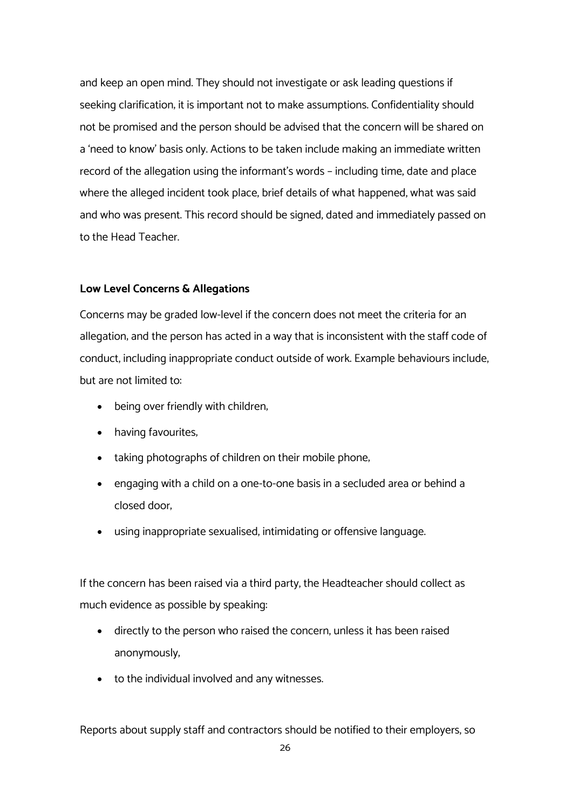and keep an open mind. They should not investigate or ask leading questions if seeking clarification; it is important not to make assumptions. Confidentiality should not be promised and the person should be advised that the concern will be shared on a 'need to know' basis only. Actions to be taken include making an immediate written record of the allegation using the informant's words – including time, date and place where the alleged incident took place, brief details of what happened, what was said and who was present. This record should be signed, dated and immediately passed on to the Head Teacher.

#### **Low Level Concerns & Allegations**

Concerns may be graded low-level if the concern does not meet the criteria for an allegation; and the person has acted in a way that is inconsistent with the staff code of conduct, including inappropriate conduct outside of work. Example behaviours include, but are not limited to:

- being over friendly with children;
- having favourites;
- taking photographs of children on their mobile phone,
- engaging with a child on a one-to-one basis in a secluded area or behind a closed door;
- using inappropriate sexualised, intimidating or offensive language.

If the concern has been raised via a third party, the Headteacher should collect as much evidence as possible by speaking:

- directly to the person who raised the concern, unless it has been raised anonymously;
- to the individual involved and any witnesses.

Reports about supply staff and contractors should be notified to their employers, so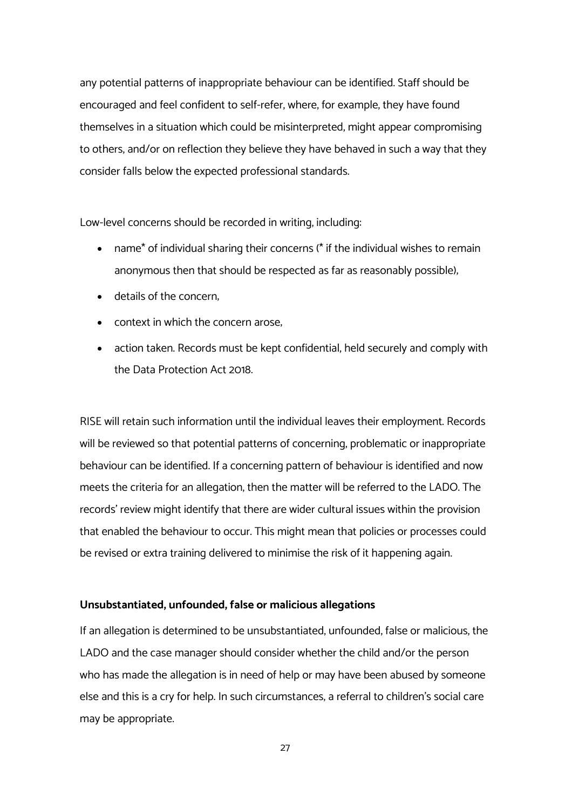any potential patterns of inappropriate behaviour can be identified. Staff should be encouraged and feel confident to self-refer, where, for example, they have found themselves in a situation which could be misinterpreted, might appear compromising to others, and/or on reflection they believe they have behaved in such a way that they consider falls below the expected professional standards.

Low-level concerns should be recorded in writing, including:

- name\* of individual sharing their concerns (\* if the individual wishes to remain anonymous then that should be respected as far as reasonably possible);
- details of the concern;
- context in which the concern arose.
- action taken. Records must be kept confidential, held securely and comply with the Data Protection Act 2018.

RISE will retain such information until the individual leaves their employment. Records will be reviewed so that potential patterns of concerning, problematic or inappropriate behaviour can be identified. If a concerning pattern of behaviour is identified and now meets the criteria for an allegation, then the matter will be referred to the LADO. The records' review might identify that there are wider cultural issues within the provision that enabled the behaviour to occur. This might mean that policies or processes could be revised or extra training delivered to minimise the risk of it happening again.

# **Unsubstantiated, unfounded, false or malicious allegations**

If an allegation is determined to be unsubstantiated, unfounded, false or malicious, the LADO and the case manager should consider whether the child and/or the person who has made the allegation is in need of help or may have been abused by someone else and this is a cry for help. In such circumstances, a referral to children's social care may be appropriate.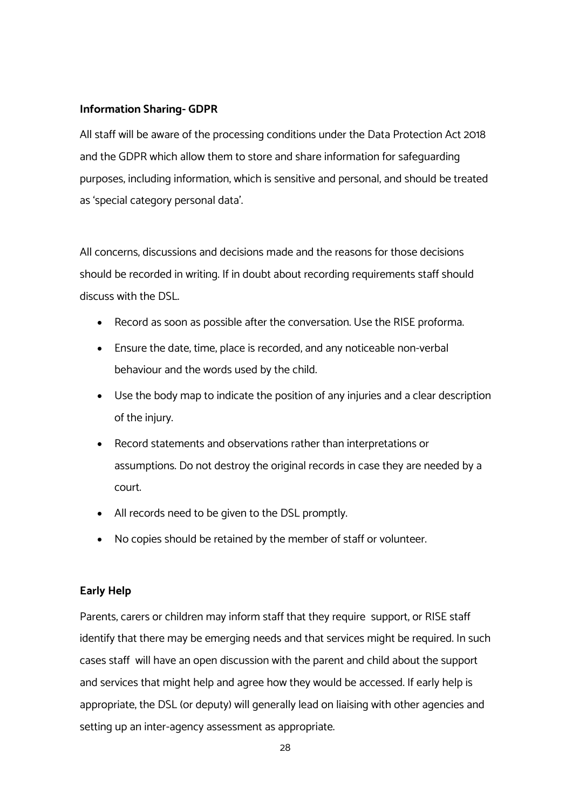# **Information Sharing- GDPR**

All staff will be aware of the processing conditions under the Data Protection Act 2018 and the GDPR which allow them to store and share information for safeguarding purposes, including information, which is sensitive and personal, and should be treated as 'special category personal data'.

All concerns, discussions and decisions made and the reasons for those decisions should be recorded in writing. If in doubt about recording requirements staff should discuss with the DSL.

- Record as soon as possible after the conversation. Use the RISE proforma.
- Ensure the date, time, place is recorded, and any noticeable non-verbal behaviour and the words used by the child.
- Use the body map to indicate the position of any injuries and a clear description of the injury.
- Record statements and observations rather than interpretations or assumptions. Do not destroy the original records in case they are needed by a court.
- All records need to be given to the DSL promptly.
- No copies should be retained by the member of staff or volunteer.

# **Early Help**

Parents, carers or children may inform staff that they require support, or RISE staff identify that there may be emerging needs and that services might be required. In such cases staff will have an open discussion with the parent and child about the support and services that might help and agree how they would be accessed. If early help is appropriate, the DSL (or deputy) will generally lead on liaising with other agencies and setting up an inter-agency assessment as appropriate.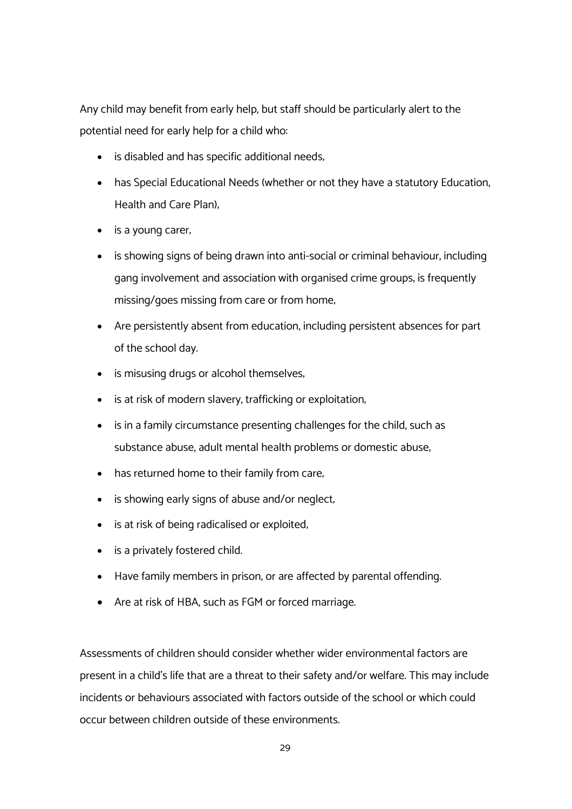Any child may benefit from early help, but staff should be particularly alert to the potential need for early help for a child who:

- is disabled and has specific additional needs;
- has Special Educational Needs (whether or not they have a statutory Education, Health and Care Plan);
- is a young carer,
- is showing signs of being drawn into anti-social or criminal behaviour, including gang involvement and association with organised crime groups; is frequently missing/goes missing from care or from home;
- Are persistently absent from education, including persistent absences for part of the school day.
- is misusing drugs or alcohol themselves;
- is at risk of modern slavery, trafficking or exploitation;
- is in a family circumstance presenting challenges for the child, such as substance abuse, adult mental health problems or domestic abuse;
- has returned home to their family from care,
- is showing early signs of abuse and/or neglect,
- is at risk of being radicalised or exploited,
- is a privately fostered child.
- Have family members in prison, or are affected by parental offending.
- Are at risk of HBA, such as FGM or forced marriage.

Assessments of children should consider whether wider environmental factors are present in a child's life that are a threat to their safety and/or welfare. This may include incidents or behaviours associated with factors outside of the school or which could occur between children outside of these environments.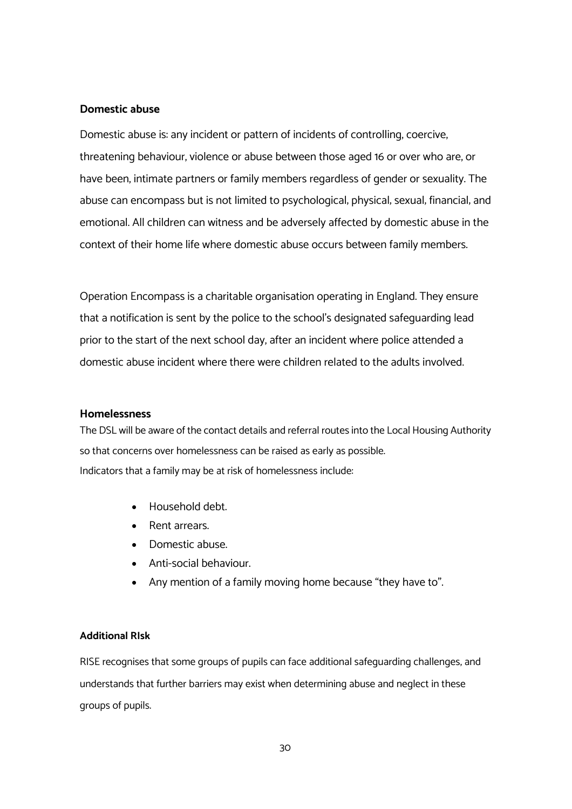#### **Domestic abuse**

Domestic abuse is: any incident or pattern of incidents of controlling, coercive, threatening behaviour, violence or abuse between those aged 16 or over who are, or have been, intimate partners or family members regardless of gender or sexuality. The abuse can encompass but is not limited to psychological; physical; sexual; financial; and emotional. All children can witness and be adversely affected by domestic abuse in the context of their home life where domestic abuse occurs between family members.

Operation Encompass is a charitable organisation operating in England. They ensure that a notification is sent by the police to the school's designated safeguarding lead prior to the start of the next school day, after an incident where police attended a domestic abuse incident where there were children related to the adults involved.

#### **Homelessness**

The DSL will be aware of the contact details and referral routes into the Local Housing Authority so that concerns over homelessness can be raised as early as possible. Indicators that a family may be at risk of homelessness include:

- Household debt.
- Rent arrears.
- Domestic abuse.
- Anti-social behaviour.
- Any mention of a family moving home because "they have to".

#### **Additional RIsk**

RISE recognises that some groups of pupils can face additional safeguarding challenges, and understands that further barriers may exist when determining abuse and neglect in these groups of pupils.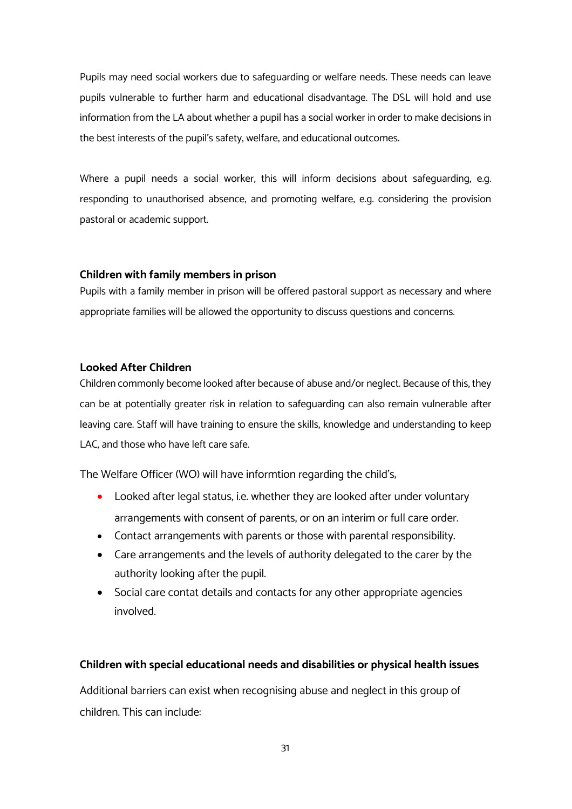Pupils may need social workers due to safeguarding or welfare needs. These needs can leave pupils vulnerable to further harm and educational disadvantage. The DSL will hold and use information from the LA about whether a pupil has a social worker in order to make decisions in the best interests of the pupil's safety, welfare, and educational outcomes.

Where a pupil needs a social worker, this will inform decisions about safeguarding, e.g. responding to unauthorised absence, and promoting welfare, e.g. considering the provision pastoral or academic support.

# **Children with family members in prison**

Pupils with a family member in prison will be offered pastoral support as necessary and where appropriate families will be allowed the opportunity to discuss questions and concerns.

# **Looked After Children**

Children commonly become looked after because of abuse and/or neglect. Because of this, they can be at potentially greater risk in relation to safeguarding can also remain vulnerable after leaving care. Staff will have training to ensure the skills, knowledge and understanding to keep LAC, and those who have left care safe.

The Welfare Officer (WO) will have informtion regarding the child's;

- Looked after legal status, i.e. whether they are looked after under voluntary arrangements with consent of parents, or on an interim or full care order.
- Contact arrangements with parents or those with parental responsibility.
- Care arrangements and the levels of authority delegated to the carer by the authority looking after the pupil.
- Social care contat details and contacts for any other appropriate agencies involved.

# **Children with special educational needs and disabilities or physical health issues**

Additional barriers can exist when recognising abuse and neglect in this group of children. This can include: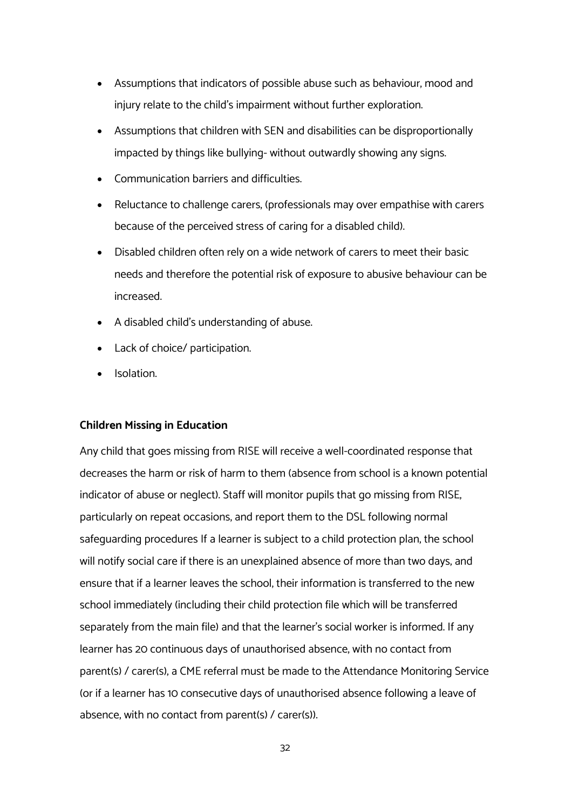- Assumptions that indicators of possible abuse such as behaviour, mood and injury relate to the child's impairment without further exploration.
- Assumptions that children with SEN and disabilities can be disproportionally impacted by things like bullying- without outwardly showing any signs.
- Communication barriers and difficulties.
- Reluctance to challenge carers, (professionals may over empathise with carers because of the perceived stress of caring for a disabled child).
- Disabled children often rely on a wide network of carers to meet their basic needs and therefore the potential risk of exposure to abusive behaviour can be increased.
- A disabled child's understanding of abuse.
- Lack of choice/ participation.
- Isolation.

#### **Children Missing in Education**

Any child that goes missing from RISE will receive a well-coordinated response that decreases the harm or risk of harm to them (absence from school is a known potential indicator of abuse or neglect). Staff will monitor pupils that go missing from RISE, particularly on repeat occasions, and report them to the DSL following normal safeguarding procedures If a learner is subject to a child protection plan, the school will notify social care if there is an unexplained absence of more than two days, and ensure that if a learner leaves the school, their information is transferred to the new school immediately (including their child protection file which will be transferred separately from the main file) and that the learner's social worker is informed. If any learner has 20 continuous days of unauthorised absence, with no contact from parent(s) / carer(s), a CME referral must be made to the Attendance Monitoring Service (or if a learner has 10 consecutive days of unauthorised absence following a leave of absence, with no contact from parent(s) / carer(s)).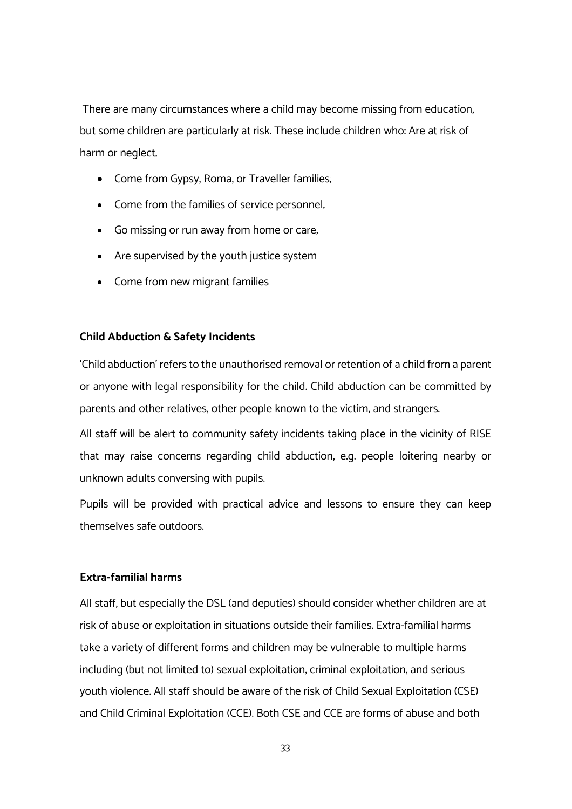There are many circumstances where a child may become missing from education, but some children are particularly at risk. These include children who: Are at risk of harm or neglect;

- Come from Gypsy, Roma, or Traveller families;
- Come from the families of service personnel;
- Go missing or run away from home or care;
- Are supervised by the youth justice system
- Come from new migrant families

#### **Child Abduction & Safety Incidents**

'Child abduction' refers to the unauthorised removal or retention of a child from a parent or anyone with legal responsibility for the child. Child abduction can be committed by parents and other relatives, other people known to the victim, and strangers.

All staff will be alert to community safety incidents taking place in the vicinity of RISE that may raise concerns regarding child abduction, e.g. people loitering nearby or unknown adults conversing with pupils.

Pupils will be provided with practical advice and lessons to ensure they can keep themselves safe outdoors.

#### **Extra-familial harms**

All staff, but especially the DSL (and deputies) should consider whether children are at risk of abuse or exploitation in situations outside their families. Extra-familial harms take a variety of different forms and children may be vulnerable to multiple harms including (but not limited to) sexual exploitation, criminal exploitation, and serious youth violence. All staff should be aware of the risk of Child Sexual Exploitation (CSE) and Child Criminal Exploitation (CCE). Both CSE and CCE are forms of abuse and both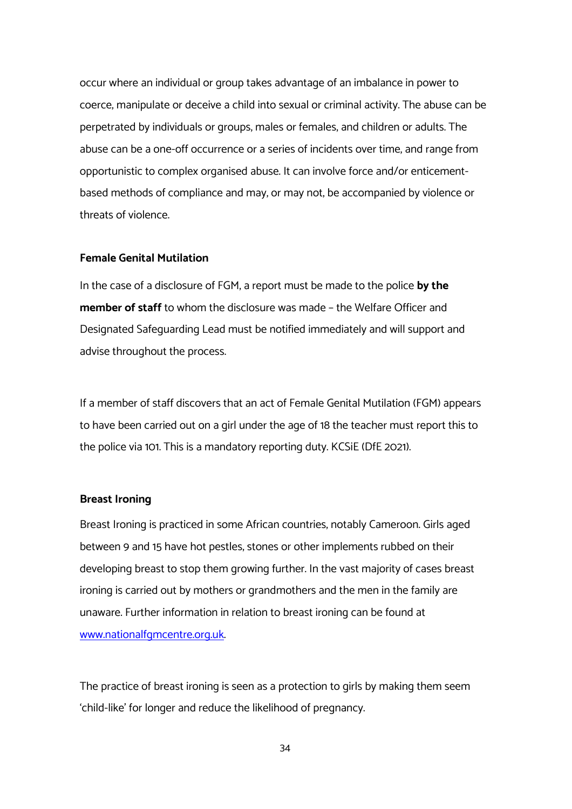occur where an individual or group takes advantage of an imbalance in power to coerce, manipulate or deceive a child into sexual or criminal activity. The abuse can be perpetrated by individuals or groups, males or females, and children or adults. The abuse can be a one-off occurrence or a series of incidents over time, and range from opportunistic to complex organised abuse. It can involve force and/or enticementbased methods of compliance and may, or may not, be accompanied by violence or threats of violence.

#### **Female Genital Mutilation**

In the case of a disclosure of FGM, a report must be made to the police **by the member of staff** to whom the disclosure was made – the Welfare Officer and Designated Safeguarding Lead must be notified immediately and will support and advise throughout the process.

If a member of staff discovers that an act of Female Genital Mutilation (FGM) appears to have been carried out on a girl under the age of 18 the teacher must report this to the police via 101. This is a mandatory reporting duty. KCSiE (DfE 2021).

#### **Breast Ironing**

Breast Ironing is practiced in some African countries, notably Cameroon. Girls aged between 9 and 15 have hot pestles, stones or other implements rubbed on their developing breast to stop them growing further. In the vast majority of cases breast ironing is carried out by mothers or grandmothers and the men in the family are unaware. Further information in relation to breast ironing can be found at www.nationalfgmcentre.org.uk.

The practice of breast ironing is seen as a protection to girls by making them seem 'child-like' for longer and reduce the likelihood of pregnancy.

34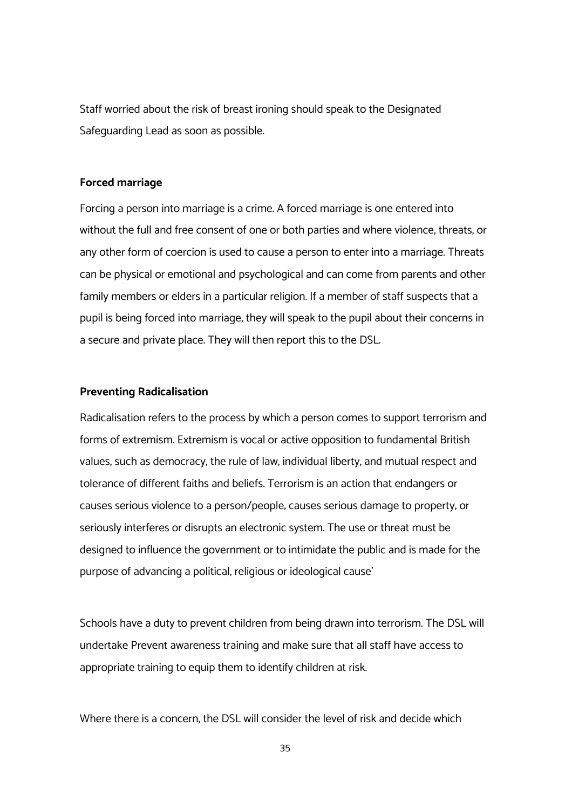Staff worried about the risk of breast ironing should speak to the Designated Safeguarding Lead as soon as possible.

#### **Forced marriage**

Forcing a person into marriage is a crime. A forced marriage is one entered into without the full and free consent of one or both parties and where violence, threats, or any other form of coercion is used to cause a person to enter into a marriage. Threats can be physical or emotional and psychological and can come from parents and other family members or elders in a particular religion. If a member of staff suspects that a pupil is being forced into marriage, they will speak to the pupil about their concerns in a secure and private place. They will then report this to the DSL.

#### **Preventing Radicalisation**

Radicalisation refers to the process by which a person comes to support terrorism and forms of extremism. Extremism is vocal or active opposition to fundamental British values, such as democracy, the rule of law, individual liberty, and mutual respect and tolerance of different faiths and beliefs. Terrorism is an action that endangers or causes serious violence to a person/people; causes serious damage to property; or seriously interferes or disrupts an electronic system. The use or threat must be designed to influence the government or to intimidate the public and is made for the purpose of advancing a political, religious or ideological cause'

Schools have a duty to prevent children from being drawn into terrorism. The DSL will undertake Prevent awareness training and make sure that all staff have access to appropriate training to equip them to identify children at risk.

Where there is a concern, the DSL will consider the level of risk and decide which

35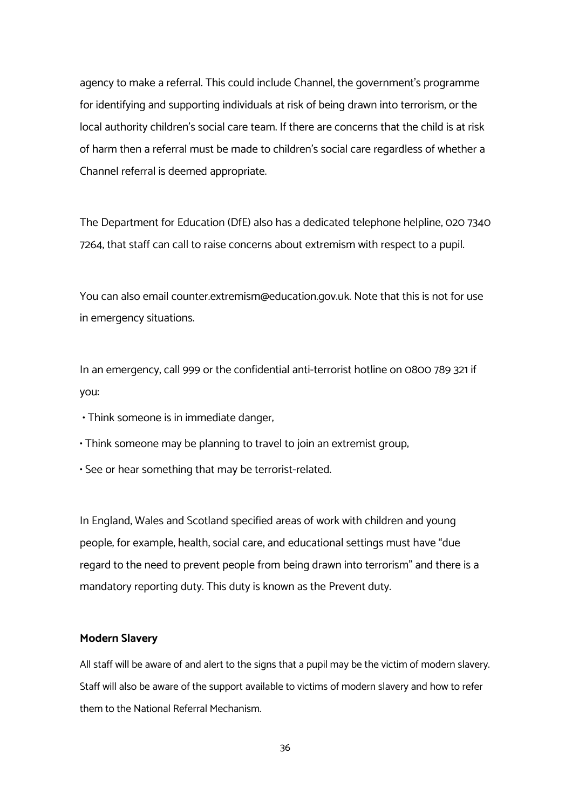agency to make a referral. This could include Channel, the government's programme for identifying and supporting individuals at risk of being drawn into terrorism, or the local authority children's social care team. If there are concerns that the child is at risk of harm then a referral must be made to children's social care regardless of whether a Channel referral is deemed appropriate.

The Department for Education (DfE) also has a dedicated telephone helpline, 020 7340 7264, that staff can call to raise concerns about extremism with respect to a pupil.

You can also email counter.extremism@education.gov.uk. Note that this is not for use in emergency situations.

In an emergency, call 999 or the confidential anti-terrorist hotline on 0800 789 321 if you:

- Think someone is in immediate danger;
- Think someone may be planning to travel to join an extremist group;
- See or hear something that may be terrorist-related.

In England, Wales and Scotland specified areas of work with children and young people; for example, health, social care, and educational settings must have "due regard to the need to prevent people from being drawn into terrorism" and there is a mandatory reporting duty. This duty is known as the Prevent duty.

#### **Modern Slavery**

All staff will be aware of and alert to the signs that a pupil may be the victim of modern slavery. Staff will also be aware of the support available to victims of modern slavery and how to refer them to the National Referral Mechanism.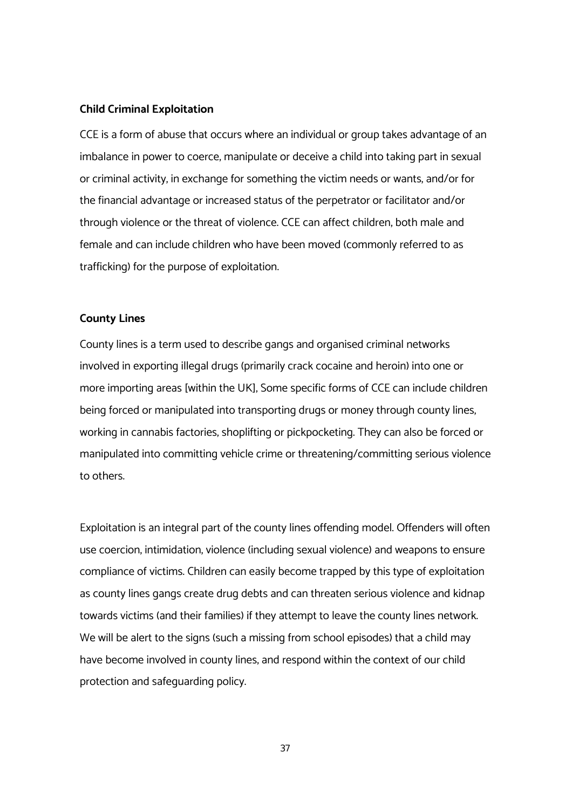#### **Child Criminal Exploitation**

CCE is a form of abuse that occurs where an individual or group takes advantage of an imbalance in power to coerce, manipulate or deceive a child into taking part in sexual or criminal activity, in exchange for something the victim needs or wants, and/or for the financial advantage or increased status of the perpetrator or facilitator and/or through violence or the threat of violence. CCE can affect children, both male and female and can include children who have been moved (commonly referred to as trafficking) for the purpose of exploitation.

#### **County Lines**

County lines is a term used to describe gangs and organised criminal networks involved in exporting illegal drugs (primarily crack cocaine and heroin) into one or more importing areas [within the UK], Some specific forms of CCE can include children being forced or manipulated into transporting drugs or money through county lines, working in cannabis factories, shoplifting or pickpocketing. They can also be forced or manipulated into committing vehicle crime or threatening/committing serious violence to others.

Exploitation is an integral part of the county lines offending model. Offenders will often use coercion, intimidation, violence (including sexual violence) and weapons to ensure compliance of victims. Children can easily become trapped by this type of exploitation as county lines gangs create drug debts and can threaten serious violence and kidnap towards victims (and their families) if they attempt to leave the county lines network. We will be alert to the signs (such a missing from school episodes) that a child may have become involved in county lines, and respond within the context of our child protection and safeguarding policy.

37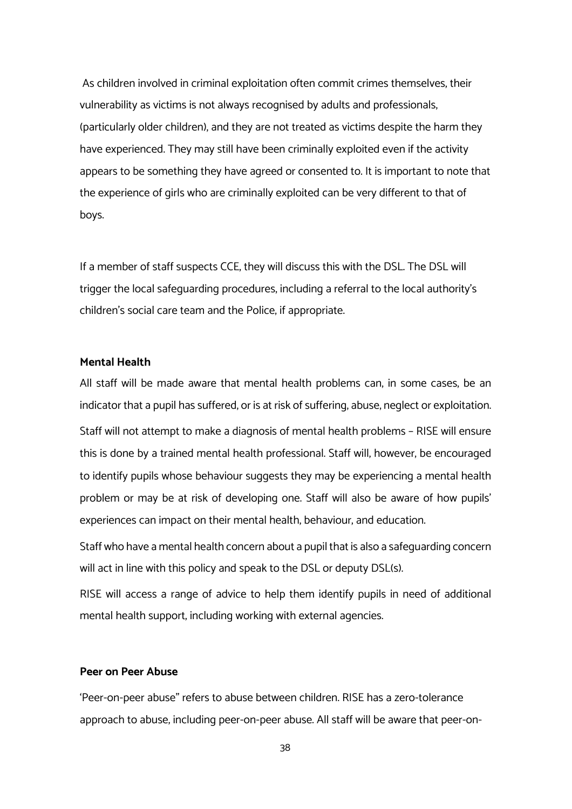As children involved in criminal exploitation often commit crimes themselves, their vulnerability as victims is not always recognised by adults and professionals, (particularly older children), and they are not treated as victims despite the harm they have experienced. They may still have been criminally exploited even if the activity appears to be something they have agreed or consented to. It is important to note that the experience of girls who are criminally exploited can be very different to that of boys.

If a member of staff suspects CCE, they will discuss this with the DSL. The DSL will trigger the local safeguarding procedures, including a referral to the local authority's children's social care team and the Police, if appropriate.

# **Mental Health**

All staff will be made aware that mental health problems can, in some cases, be an indicator that a pupil has suffered, or is at risk of suffering, abuse, neglect or exploitation. Staff will not attempt to make a diagnosis of mental health problems – RISE will ensure this is done by a trained mental health professional. Staff will, however, be encouraged to identify pupils whose behaviour suggests they may be experiencing a mental health problem or may be at risk of developing one. Staff will also be aware of how pupils' experiences can impact on their mental health, behaviour, and education.

Staff who have a mental health concern about a pupil that is also a safeguarding concern will act in line with this policy and speak to the DSL or deputy DSL(s).

RISE will access a range of advice to help them identify pupils in need of additional mental health support, including working with external agencies.

# **Peer on Peer Abuse**

'Peer-on-peer abuse" refers to abuse between children. RISE has a zero-tolerance approach to abuse, including peer-on-peer abuse. All staff will be aware that peer-on-

38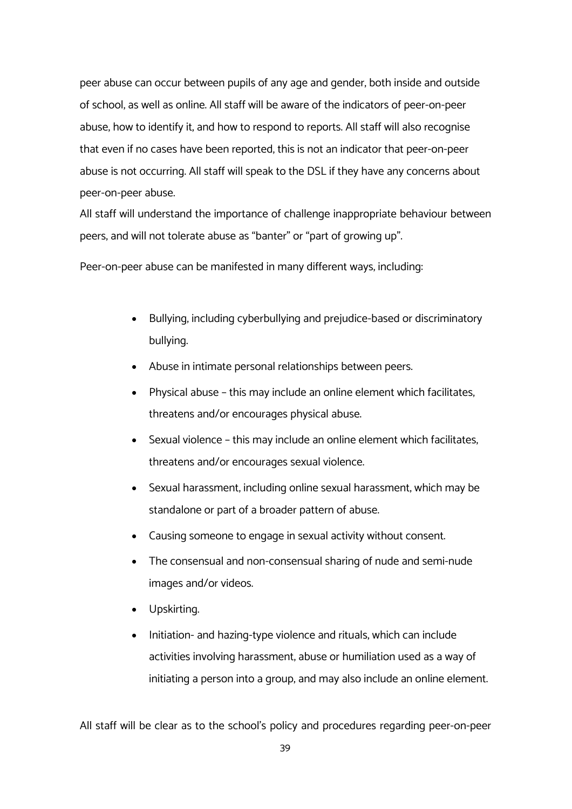peer abuse can occur between pupils of any age and gender, both inside and outside of school, as well as online. All staff will be aware of the indicators of peer-on-peer abuse, how to identify it, and how to respond to reports. All staff will also recognise that even if no cases have been reported, this is not an indicator that peer-on-peer abuse is not occurring. All staff will speak to the DSL if they have any concerns about peer-on-peer abuse.

All staff will understand the importance of challenge inappropriate behaviour between peers, and will not tolerate abuse as "banter" or "part of growing up".

Peer-on-peer abuse can be manifested in many different ways, including:

- Bullying, including cyberbullying and prejudice-based or discriminatory bullying.
- Abuse in intimate personal relationships between peers.
- Physical abuse this may include an online element which facilitates, threatens and/or encourages physical abuse.
- Sexual violence this may include an online element which facilitates, threatens and/or encourages sexual violence.
- Sexual harassment, including online sexual harassment, which may be standalone or part of a broader pattern of abuse.
- Causing someone to engage in sexual activity without consent.
- The consensual and non-consensual sharing of nude and semi-nude images and/or videos.
- Upskirting.
- Initiation- and hazing-type violence and rituals, which can include activities involving harassment, abuse or humiliation used as a way of initiating a person into a group, and may also include an online element.

All staff will be clear as to the school's policy and procedures regarding peer-on-peer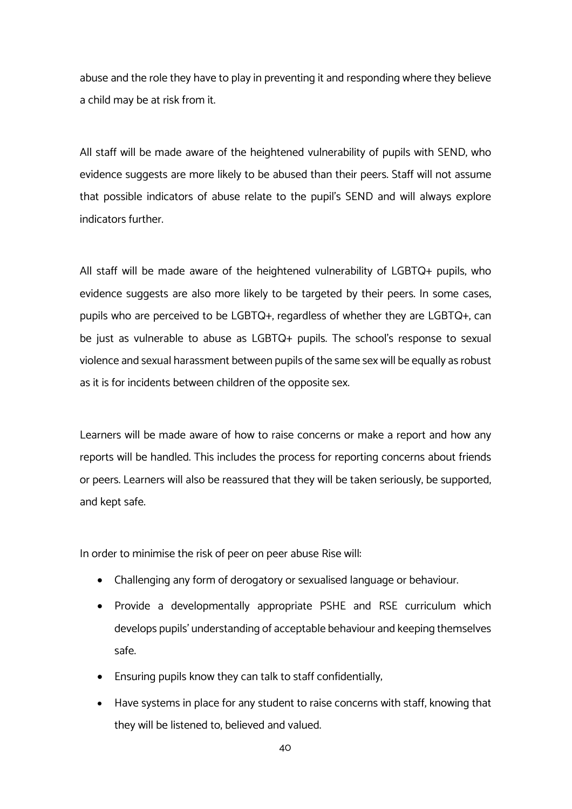abuse and the role they have to play in preventing it and responding where they believe a child may be at risk from it.

All staff will be made aware of the heightened vulnerability of pupils with SEND, who evidence suggests are more likely to be abused than their peers. Staff will not assume that possible indicators of abuse relate to the pupil's SEND and will always explore indicators further.

All staff will be made aware of the heightened vulnerability of LGBTQ+ pupils, who evidence suggests are also more likely to be targeted by their peers. In some cases, pupils who are perceived to be LGBTQ+, regardless of whether they are LGBTQ+, can be just as vulnerable to abuse as LGBTQ+ pupils. The school's response to sexual violence and sexual harassment between pupils of the same sex will be equally as robust as it is for incidents between children of the opposite sex.

Learners will be made aware of how to raise concerns or make a report and how any reports will be handled. This includes the process for reporting concerns about friends or peers. Learners will also be reassured that they will be taken seriously, be supported, and kept safe.

In order to minimise the risk of peer on peer abuse Rise will:

- Challenging any form of derogatory or sexualised language or behaviour.
- Provide a developmentally appropriate PSHE and RSE curriculum which develops pupils' understanding of acceptable behaviour and keeping themselves safe.
- Ensuring pupils know they can talk to staff confidentially;
- Have systems in place for any student to raise concerns with staff, knowing that they will be listened to, believed and valued.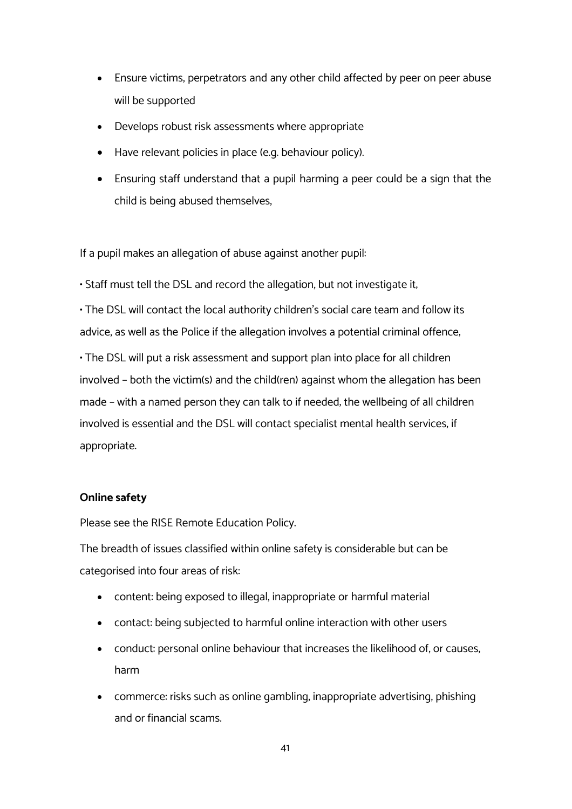- Ensure victims, perpetrators and any other child affected by peer on peer abuse will be supported
- Develops robust risk assessments where appropriate
- Have relevant policies in place (e.g. behaviour policy).
- Ensuring staff understand that a pupil harming a peer could be a sign that the child is being abused themselves,

If a pupil makes an allegation of abuse against another pupil:

• Staff must tell the DSL and record the allegation, but not investigate it;

• The DSL will contact the local authority children's social care team and follow its advice, as well as the Police if the allegation involves a potential criminal offence;

• The DSL will put a risk assessment and support plan into place for all children involved – both the victim(s) and the child(ren) against whom the allegation has been made – with a named person they can talk to if needed; the wellbeing of all children involved is essential and the DSL will contact specialist mental health services, if appropriate.

# **Online safety**

Please see the RISE Remote Education Policy.

The breadth of issues classified within online safety is considerable but can be categorised into four areas of risk:

- content: being exposed to illegal, inappropriate or harmful material
- contact: being subjected to harmful online interaction with other users
- conduct: personal online behaviour that increases the likelihood of, or causes, harm
- commerce: risks such as online gambling, inappropriate advertising, phishing and or financial scams.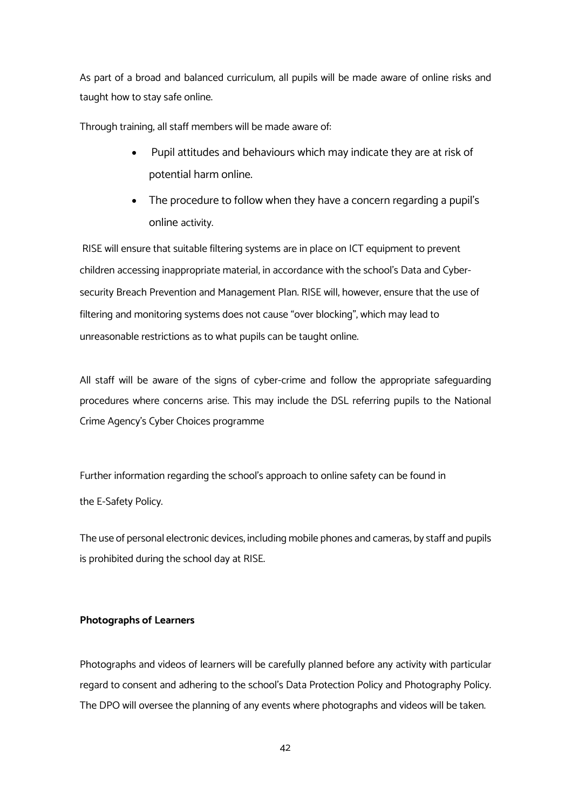As part of a broad and balanced curriculum, all pupils will be made aware of online risks and taught how to stay safe online.

Through training, all staff members will be made aware of:

- Pupil attitudes and behaviours which may indicate they are at risk of potential harm online.
- The procedure to follow when they have a concern regarding a pupil's online activity.

RISE will ensure that suitable filtering systems are in place on ICT equipment to prevent children accessing inappropriate material, in accordance with the school's Data and Cybersecurity Breach Prevention and Management Plan. RISE will, however, ensure that the use of filtering and monitoring systems does not cause "over blocking", which may lead to unreasonable restrictions as to what pupils can be taught online.

All staff will be aware of the signs of cyber-crime and follow the appropriate safeguarding procedures where concerns arise. This may include the DSL referring pupils to the National Crime Agency's Cyber Choices programme

Further information regarding the school's approach to online safety can be found in the E-Safety Policy.

The use of personal electronic devices, including mobile phones and cameras, by staff and pupils is prohibited during the school day at RISE.

#### **Photographs of Learners**

Photographs and videos of learners will be carefully planned before any activity with particular regard to consent and adhering to the school's Data Protection Policy and Photography Policy. The DPO will oversee the planning of any events where photographs and videos will be taken.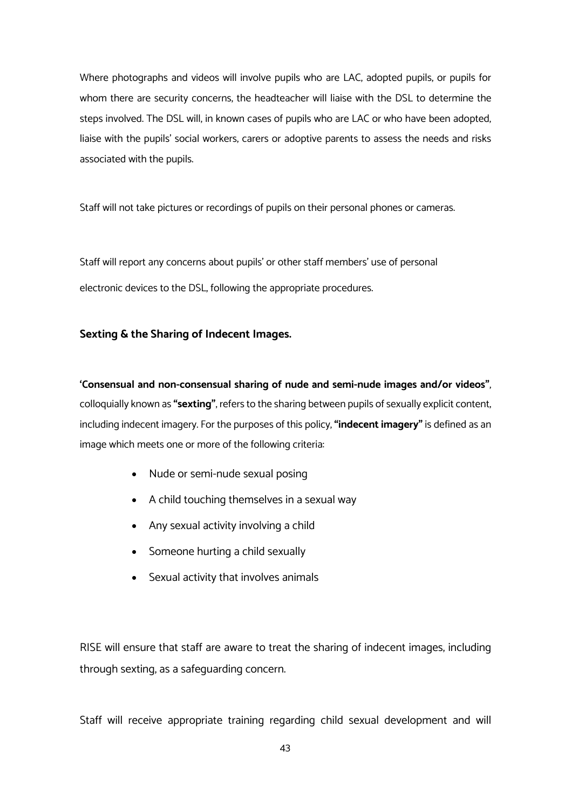Where photographs and videos will involve pupils who are LAC, adopted pupils, or pupils for whom there are security concerns, the headteacher will liaise with the DSL to determine the steps involved. The DSL will, in known cases of pupils who are LAC or who have been adopted, liaise with the pupils' social workers, carers or adoptive parents to assess the needs and risks associated with the pupils.

Staff will not take pictures or recordings of pupils on their personal phones or cameras.

Staff will report any concerns about pupils' or other staff members' use of personal electronic devices to the DSL, following the appropriate procedures.

# **Sexting & the Sharing of Indecent Images.**

**'Consensual and non-consensual sharing of nude and semi-nude images and/or videos"**, colloquially known as **"sexting"**, refers to the sharing between pupils of sexually explicit content, including indecent imagery. For the purposes of this policy, **"indecent imagery"** is defined as an image which meets one or more of the following criteria:

- Nude or semi-nude sexual posing
- A child touching themselves in a sexual way
- Any sexual activity involving a child
- Someone hurting a child sexually
- Sexual activity that involves animals

RISE will ensure that staff are aware to treat the sharing of indecent images, including through sexting, as a safeguarding concern.

Staff will receive appropriate training regarding child sexual development and will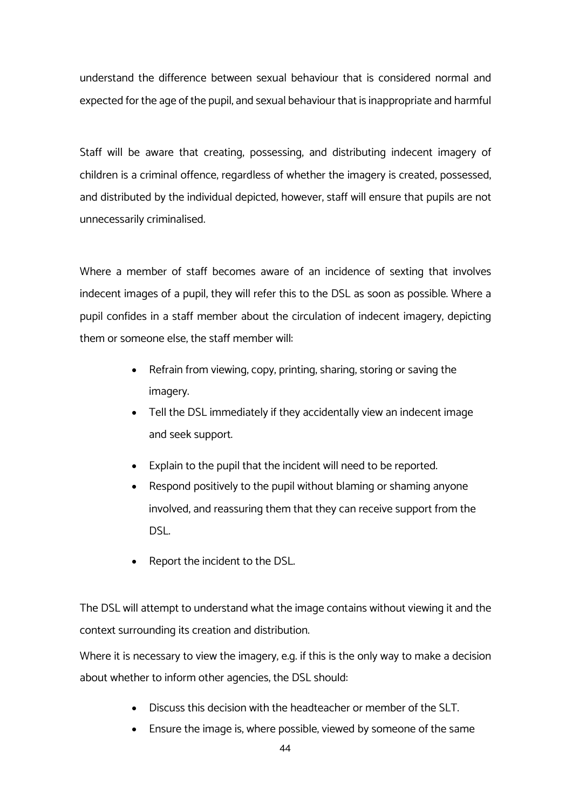understand the difference between sexual behaviour that is considered normal and expected for the age of the pupil, and sexual behaviour that is inappropriate and harmful

Staff will be aware that creating, possessing, and distributing indecent imagery of children is a criminal offence, regardless of whether the imagery is created, possessed, and distributed by the individual depicted; however, staff will ensure that pupils are not unnecessarily criminalised.

Where a member of staff becomes aware of an incidence of sexting that involves indecent images of a pupil, they will refer this to the DSL as soon as possible. Where a pupil confides in a staff member about the circulation of indecent imagery, depicting them or someone else, the staff member will:

- Refrain from viewing, copy, printing, sharing, storing or saving the imagery.
- Tell the DSL immediately if they accidentally view an indecent image and seek support.
- Explain to the pupil that the incident will need to be reported.
- Respond positively to the pupil without blaming or shaming anyone involved, and reassuring them that they can receive support from the DSL.
- Report the incident to the DSL.

The DSL will attempt to understand what the image contains without viewing it and the context surrounding its creation and distribution.

Where it is necessary to view the imagery, e.g. if this is the only way to make a decision about whether to inform other agencies, the DSL should:

- Discuss this decision with the headteacher or member of the SLT.
- Ensure the image is, where possible, viewed by someone of the same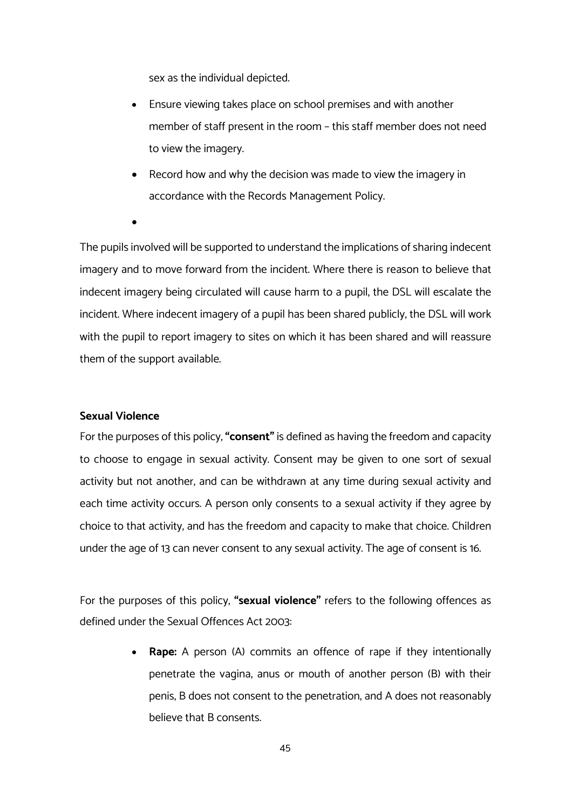sex as the individual depicted.

- Ensure viewing takes place on school premises and with another member of staff present in the room – this staff member does not need to view the imagery.
- Record how and why the decision was made to view the imagery in accordance with the Records Management Policy.
- •

The pupils involved will be supported to understand the implications of sharing indecent imagery and to move forward from the incident. Where there is reason to believe that indecent imagery being circulated will cause harm to a pupil, the DSL will escalate the incident. Where indecent imagery of a pupil has been shared publicly, the DSL will work with the pupil to report imagery to sites on which it has been shared and will reassure them of the support available.

# **Sexual Violence**

For the purposes of this policy, **"consent"** is defined as having the freedom and capacity to choose to engage in sexual activity. Consent may be given to one sort of sexual activity but not another, and can be withdrawn at any time during sexual activity and each time activity occurs. A person only consents to a sexual activity if they agree by choice to that activity, and has the freedom and capacity to make that choice. Children under the age of 13 can never consent to any sexual activity. The age of consent is 16.

For the purposes of this policy, **"sexual violence"** refers to the following offences as defined under the Sexual Offences Act 2003:

> • **Rape:** A person (A) commits an offence of rape if they intentionally penetrate the vagina, anus or mouth of another person (B) with their penis, B does not consent to the penetration, and A does not reasonably believe that B consents.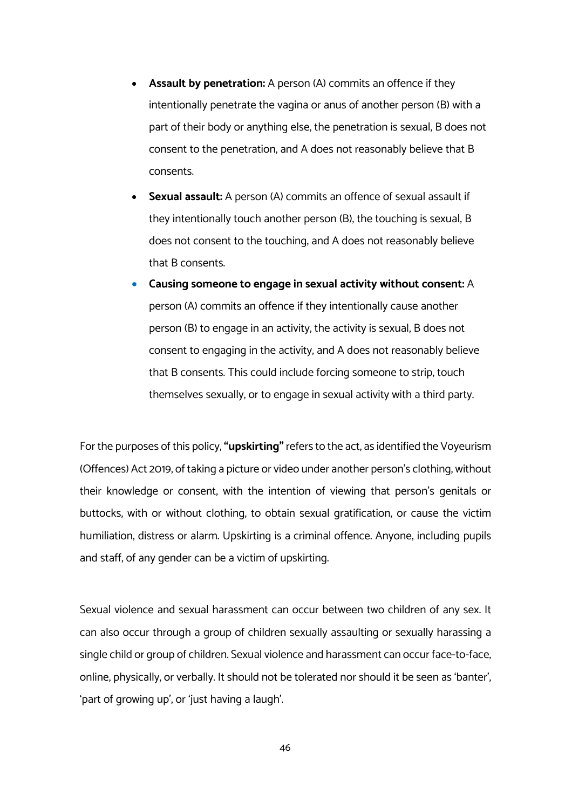- **Assault by penetration:** A person (A) commits an offence if they intentionally penetrate the vagina or anus of another person (B) with a part of their body or anything else, the penetration is sexual, B does not consent to the penetration, and A does not reasonably believe that B consents.
- **Sexual assault:** A person (A) commits an offence of sexual assault if they intentionally touch another person (B), the touching is sexual, B does not consent to the touching, and A does not reasonably believe that B consents.
- **Causing someone to engage in sexual activity without consent:** A person (A) commits an offence if they intentionally cause another person (B) to engage in an activity, the activity is sexual, B does not consent to engaging in the activity, and A does not reasonably believe that B consents. This could include forcing someone to strip, touch themselves sexually, or to engage in sexual activity with a third party.

For the purposes of this policy, **"upskirting"** refers to the act, as identified the Voyeurism (Offences) Act 2019, of taking a picture or video under another person's clothing, without their knowledge or consent, with the intention of viewing that person's genitals or buttocks, with or without clothing, to obtain sexual gratification, or cause the victim humiliation, distress or alarm. Upskirting is a criminal offence. Anyone, including pupils and staff, of any gender can be a victim of upskirting.

Sexual violence and sexual harassment can occur between two children of any sex. It can also occur through a group of children sexually assaulting or sexually harassing a single child or group of children. Sexual violence and harassment can occur face-to-face, online, physically, or verbally. It should not be tolerated nor should it be seen as 'banter', 'part of growing up', or 'just having a laugh'.

46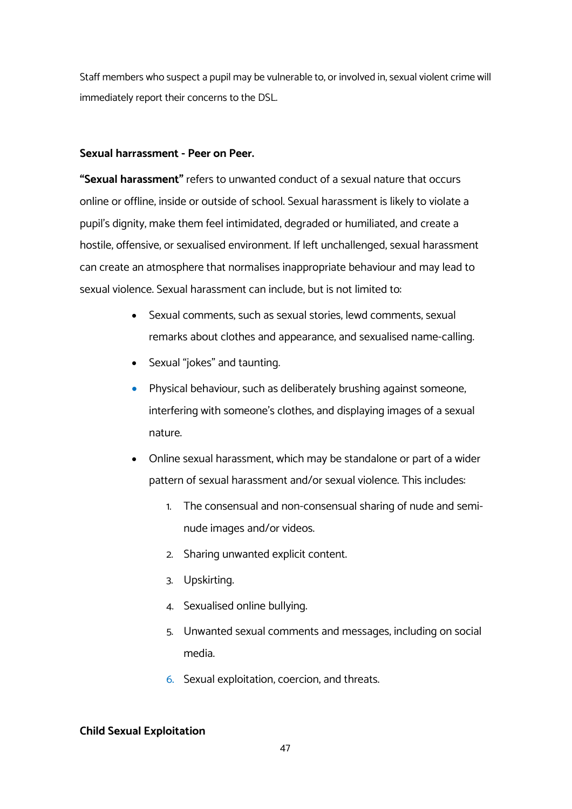Staff members who suspect a pupil may be vulnerable to, or involved in, sexual violent crime will immediately report their concerns to the DSL.

#### **Sexual harrassment - Peer on Peer.**

**"Sexual harassment"** refers to unwanted conduct of a sexual nature that occurs online or offline, inside or outside of school. Sexual harassment is likely to violate a pupil's dignity, make them feel intimidated, degraded or humiliated, and create a hostile, offensive, or sexualised environment. If left unchallenged, sexual harassment can create an atmosphere that normalises inappropriate behaviour and may lead to sexual violence. Sexual harassment can include, but is not limited to:

- Sexual comments, such as sexual stories, lewd comments, sexual remarks about clothes and appearance, and sexualised name-calling.
- Sexual "jokes" and taunting.
- Physical behaviour, such as deliberately brushing against someone, interfering with someone's clothes, and displaying images of a sexual nature.
- Online sexual harassment, which may be standalone or part of a wider pattern of sexual harassment and/or sexual violence. This includes:
	- 1. The consensual and non-consensual sharing of nude and seminude images and/or videos.
	- 2. Sharing unwanted explicit content.
	- 3. Upskirting.
	- 4. Sexualised online bullying.
	- 5. Unwanted sexual comments and messages, including on social media.
	- 6. Sexual exploitation, coercion, and threats.

#### **Child Sexual Exploitation**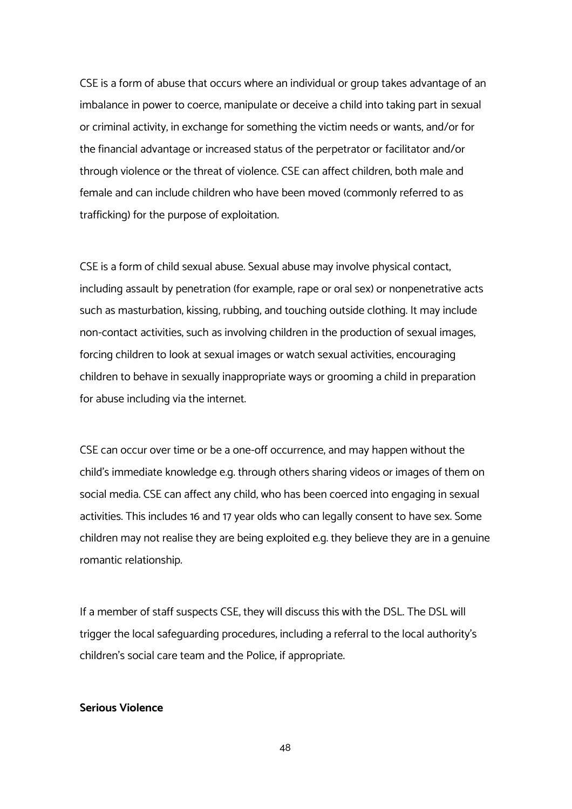CSE is a form of abuse that occurs where an individual or group takes advantage of an imbalance in power to coerce, manipulate or deceive a child into taking part in sexual or criminal activity, in exchange for something the victim needs or wants, and/or for the financial advantage or increased status of the perpetrator or facilitator and/or through violence or the threat of violence. CSE can affect children, both male and female and can include children who have been moved (commonly referred to as trafficking) for the purpose of exploitation.

CSE is a form of child sexual abuse. Sexual abuse may involve physical contact, including assault by penetration (for example, rape or oral sex) or nonpenetrative acts such as masturbation, kissing, rubbing, and touching outside clothing. It may include non-contact activities, such as involving children in the production of sexual images, forcing children to look at sexual images or watch sexual activities, encouraging children to behave in sexually inappropriate ways or grooming a child in preparation for abuse including via the internet.

CSE can occur over time or be a one-off occurrence, and may happen without the child's immediate knowledge e.g. through others sharing videos or images of them on social media. CSE can affect any child, who has been coerced into engaging in sexual activities. This includes 16 and 17 year olds who can legally consent to have sex. Some children may not realise they are being exploited e.g. they believe they are in a genuine romantic relationship.

If a member of staff suspects CSE, they will discuss this with the DSL. The DSL will trigger the local safeguarding procedures, including a referral to the local authority's children's social care team and the Police, if appropriate.

#### **Serious Violence**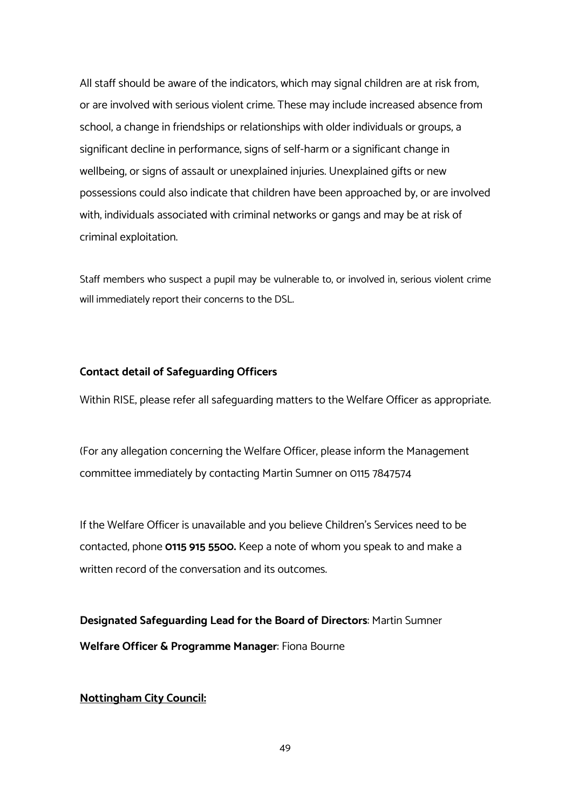All staff should be aware of the indicators, which may signal children are at risk from, or are involved with serious violent crime. These may include increased absence from school, a change in friendships or relationships with older individuals or groups, a significant decline in performance, signs of self-harm or a significant change in wellbeing, or signs of assault or unexplained injuries. Unexplained gifts or new possessions could also indicate that children have been approached by, or are involved with, individuals associated with criminal networks or gangs and may be at risk of criminal exploitation.

Staff members who suspect a pupil may be vulnerable to, or involved in, serious violent crime will immediately report their concerns to the DSL.

# **Contact detail of Safeguarding Officers**

Within RISE, please refer all safeguarding matters to the Welfare Officer as appropriate.

(For any allegation concerning the Welfare Officer, please inform the Management committee immediately by contacting Martin Sumner on 0115 7847574

If the Welfare Officer is unavailable and you believe Children's Services need to be contacted, phone **0115 915 5500.** Keep a note of whom you speak to and make a written record of the conversation and its outcomes.

**Designated Safeguarding Lead for the Board of Directors**: Martin Sumner **Welfare Officer & Programme Manager**: Fiona Bourne

**Nottingham City Council:**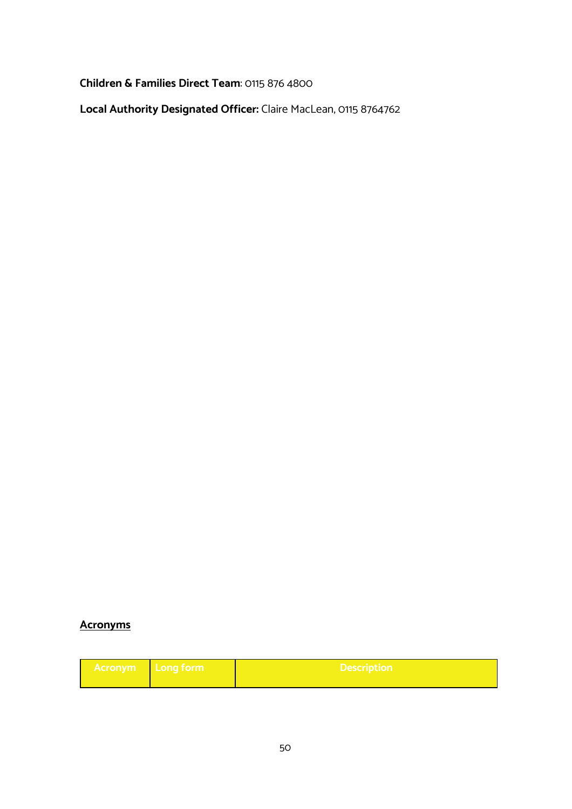**Children & Families Direct Team**: 0115 876 4800

**Local Authority Designated Officer:** Claire MacLean, 0115 8764762

# **Acronyms**

| <b>Acronym</b> | ⊾ Long τorm≀ | <b>Description</b> |
|----------------|--------------|--------------------|
|                |              |                    |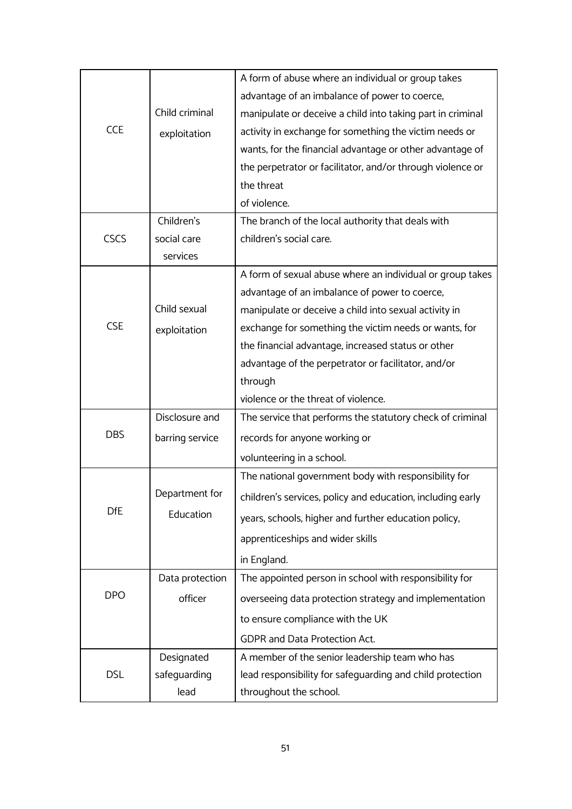|             |                 | A form of abuse where an individual or group takes         |
|-------------|-----------------|------------------------------------------------------------|
| <b>CCE</b>  |                 | advantage of an imbalance of power to coerce,              |
|             | Child criminal  | manipulate or deceive a child into taking part in criminal |
|             | exploitation    | activity in exchange for something the victim needs or     |
|             |                 | wants, for the financial advantage or other advantage of   |
|             |                 | the perpetrator or facilitator, and/or through violence or |
|             |                 | the threat                                                 |
|             |                 | of violence.                                               |
|             | Children's      | The branch of the local authority that deals with          |
| <b>CSCS</b> | social care     | children's social care.                                    |
|             | services        |                                                            |
|             |                 | A form of sexual abuse where an individual or group takes  |
|             |                 | advantage of an imbalance of power to coerce,              |
|             | Child sexual    | manipulate or deceive a child into sexual activity in      |
| <b>CSE</b>  | exploitation    | exchange for something the victim needs or wants, for      |
|             |                 | the financial advantage, increased status or other         |
|             |                 | advantage of the perpetrator or facilitator, and/or        |
|             |                 | through                                                    |
|             |                 | violence or the threat of violence.                        |
|             | Disclosure and  | The service that performs the statutory check of criminal  |
| <b>DBS</b>  | barring service | records for anyone working or                              |
|             |                 | volunteering in a school.                                  |
|             |                 | The national government body with responsibility for       |
|             | Department for  | children's services, policy and education, including early |
| <b>DfE</b>  | Education       | years, schools, higher and further education policy,       |
|             |                 | apprenticeships and wider skills                           |
|             |                 | in England.                                                |
|             | Data protection | The appointed person in school with responsibility for     |
| <b>DPO</b>  | officer         | overseeing data protection strategy and implementation     |
|             |                 | to ensure compliance with the UK                           |
|             |                 | GDPR and Data Protection Act.                              |
| <b>DSL</b>  | Designated      | A member of the senior leadership team who has             |
|             | safeguarding    | lead responsibility for safeguarding and child protection  |
|             | lead            | throughout the school.                                     |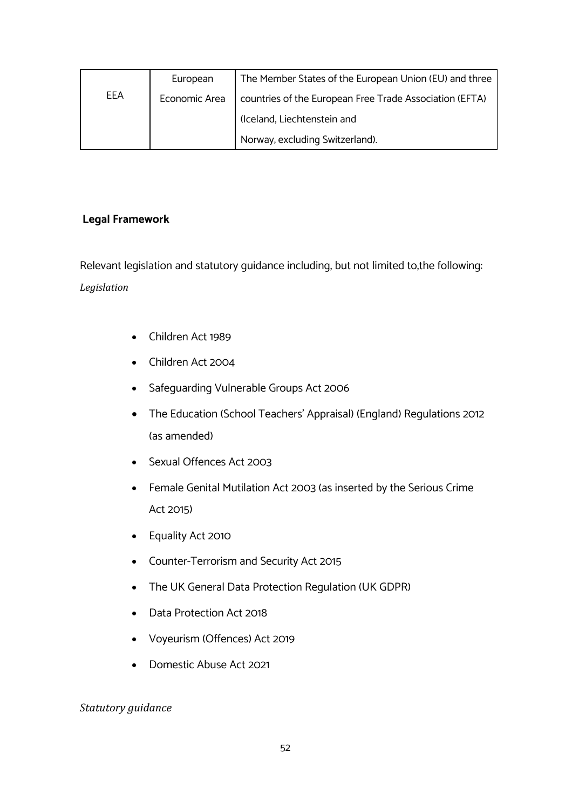|     | European      | The Member States of the European Union (EU) and three  |
|-----|---------------|---------------------------------------------------------|
| EEA | Economic Area | countries of the European Free Trade Association (EFTA) |
|     |               | (Iceland, Liechtenstein and                             |
|     |               | Norway, excluding Switzerland).                         |

# **Legal Framework**

Relevant legislation and statutory guidance including, but not limited to,the following: *Legislation*

- Children Act 1989
- Children Act 2004
- Safeguarding Vulnerable Groups Act 2006
- The Education (School Teachers' Appraisal) (England) Regulations 2012 (as amended)
- Sexual Offences Act 2003
- Female Genital Mutilation Act 2003 (as inserted by the Serious Crime Act 2015)
- Equality Act 2010
- Counter-Terrorism and Security Act 2015
- The UK General Data Protection Regulation (UK GDPR)
- Data Protection Act 2018
- Voyeurism (Offences) Act 2019
- Domestic Abuse Act 2021

# *Statutory guidance*